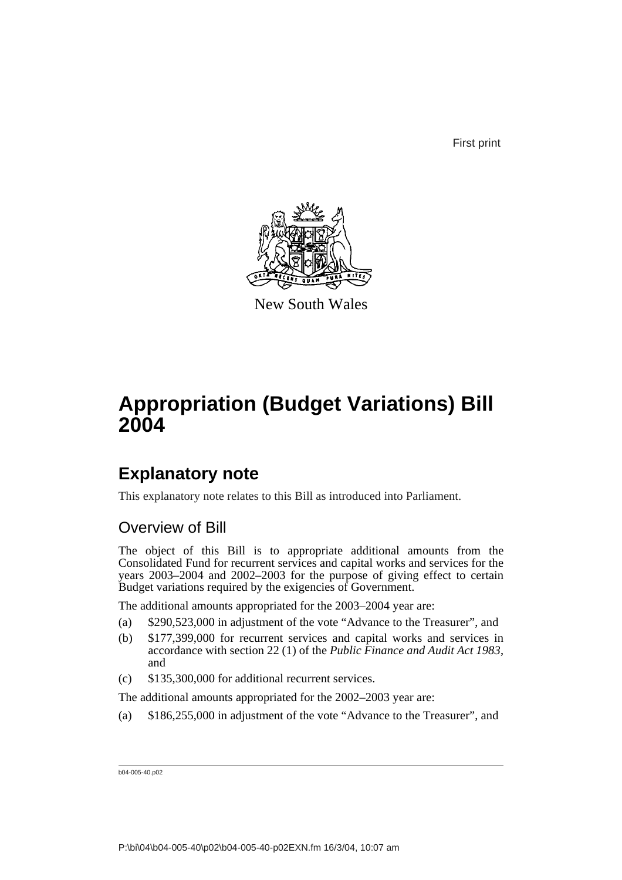First print



New South Wales

# **Appropriation (Budget Variations) Bill 2004**

# **Explanatory note**

This explanatory note relates to this Bill as introduced into Parliament.

# Overview of Bill

The object of this Bill is to appropriate additional amounts from the Consolidated Fund for recurrent services and capital works and services for the years 2003–2004 and 2002–2003 for the purpose of giving effect to certain Budget variations required by the exigencies of Government.

The additional amounts appropriated for the 2003–2004 year are:

- (a) \$290,523,000 in adjustment of the vote "Advance to the Treasurer", and
- (b) \$177,399,000 for recurrent services and capital works and services in accordance with section 22 (1) of the *Public Finance and Audit Act 1983*, and
- (c) \$135,300,000 for additional recurrent services.

The additional amounts appropriated for the 2002–2003 year are:

(a) \$186,255,000 in adjustment of the vote "Advance to the Treasurer", and

b04-005-40.p02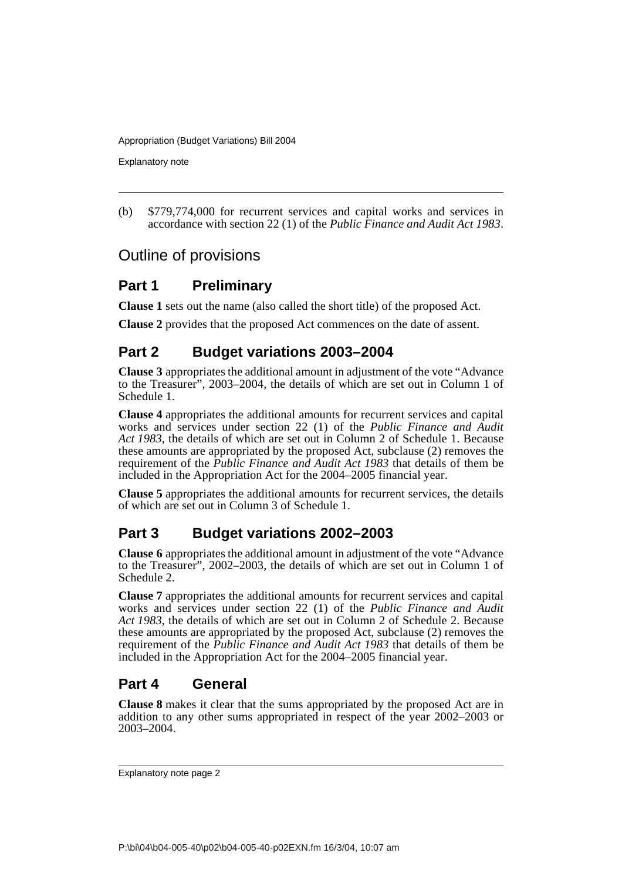Explanatory note

(b) \$779,774,000 for recurrent services and capital works and services in accordance with section 22 (1) of the *Public Finance and Audit Act 1983*.

# Outline of provisions

# **Part 1 Preliminary**

**Clause 1** sets out the name (also called the short title) of the proposed Act.

**Clause 2** provides that the proposed Act commences on the date of assent.

# **Part 2 Budget variations 2003–2004**

**Clause 3** appropriates the additional amount in adjustment of the vote "Advance to the Treasurer", 2003–2004, the details of which are set out in Column 1 of Schedule 1.

**Clause 4** appropriates the additional amounts for recurrent services and capital works and services under section 22 (1) of the *Public Finance and Audit Act 1983*, the details of which are set out in Column 2 of Schedule 1. Because these amounts are appropriated by the proposed Act, subclause (2) removes the requirement of the *Public Finance and Audit Act 1983* that details of them be included in the Appropriation Act for the 2004–2005 financial year.

**Clause 5** appropriates the additional amounts for recurrent services, the details of which are set out in Column 3 of Schedule 1.

# **Part 3 Budget variations 2002–2003**

**Clause 6** appropriates the additional amount in adjustment of the vote "Advance to the Treasurer", 2002–2003, the details of which are set out in Column 1 of Schedule 2.

**Clause 7** appropriates the additional amounts for recurrent services and capital works and services under section 22 (1) of the *Public Finance and Audit Act 1983*, the details of which are set out in Column 2 of Schedule 2. Because these amounts are appropriated by the proposed Act, subclause (2) removes the requirement of the *Public Finance and Audit Act 1983* that details of them be included in the Appropriation Act for the 2004–2005 financial year.

# **Part 4 General**

**Clause 8** makes it clear that the sums appropriated by the proposed Act are in addition to any other sums appropriated in respect of the year 2002–2003 or 2003–2004.

Explanatory note page 2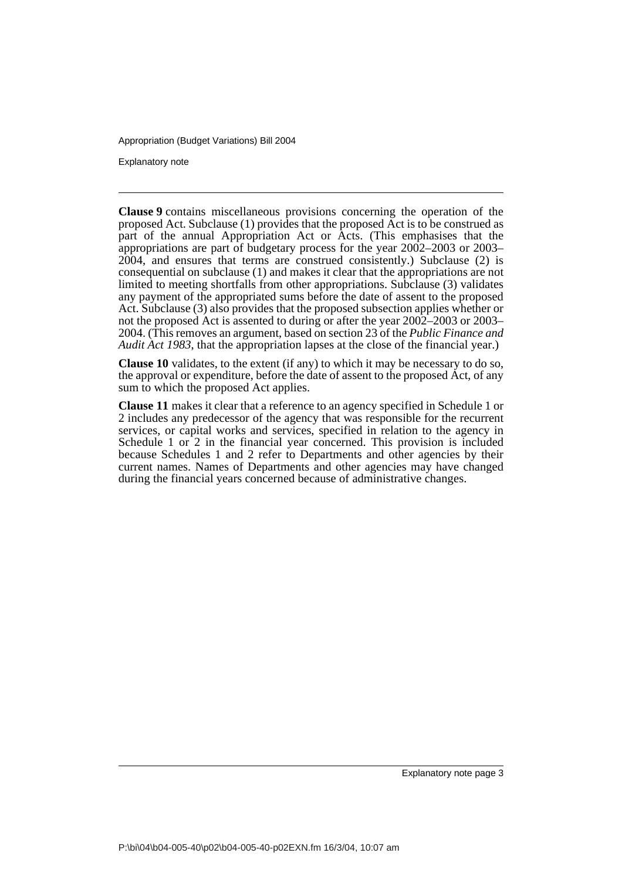Explanatory note

**Clause 9** contains miscellaneous provisions concerning the operation of the proposed Act. Subclause (1) provides that the proposed Act is to be construed as part of the annual Appropriation Act or Acts. (This emphasises that the appropriations are part of budgetary process for the year 2002–2003 or 2003– 2004, and ensures that terms are construed consistently.) Subclause (2) is consequential on subclause (1) and makes it clear that the appropriations are not limited to meeting shortfalls from other appropriations. Subclause (3) validates any payment of the appropriated sums before the date of assent to the proposed Act. Subclause (3) also provides that the proposed subsection applies whether or not the proposed Act is assented to during or after the year 2002–2003 or 2003– 2004. (This removes an argument, based on section 23 of the *Public Finance and Audit Act 1983*, that the appropriation lapses at the close of the financial year.)

**Clause 10** validates, to the extent (if any) to which it may be necessary to do so, the approval or expenditure, before the date of assent to the proposed Act, of any sum to which the proposed Act applies.

**Clause 11** makes it clear that a reference to an agency specified in Schedule 1 or 2 includes any predecessor of the agency that was responsible for the recurrent services, or capital works and services, specified in relation to the agency in Schedule 1 or 2 in the financial year concerned. This provision is included because Schedules 1 and 2 refer to Departments and other agencies by their current names. Names of Departments and other agencies may have changed during the financial years concerned because of administrative changes.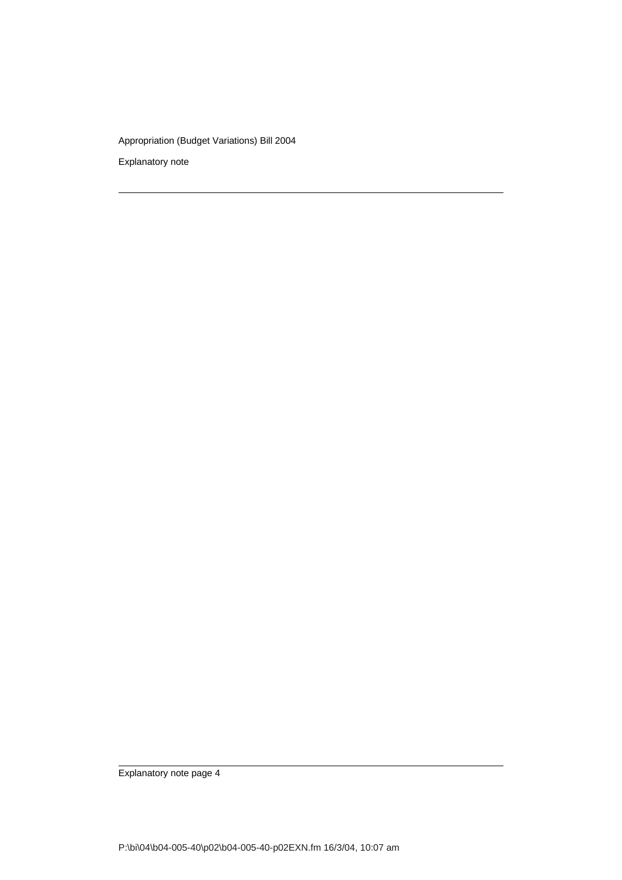Explanatory note

Explanatory note page 4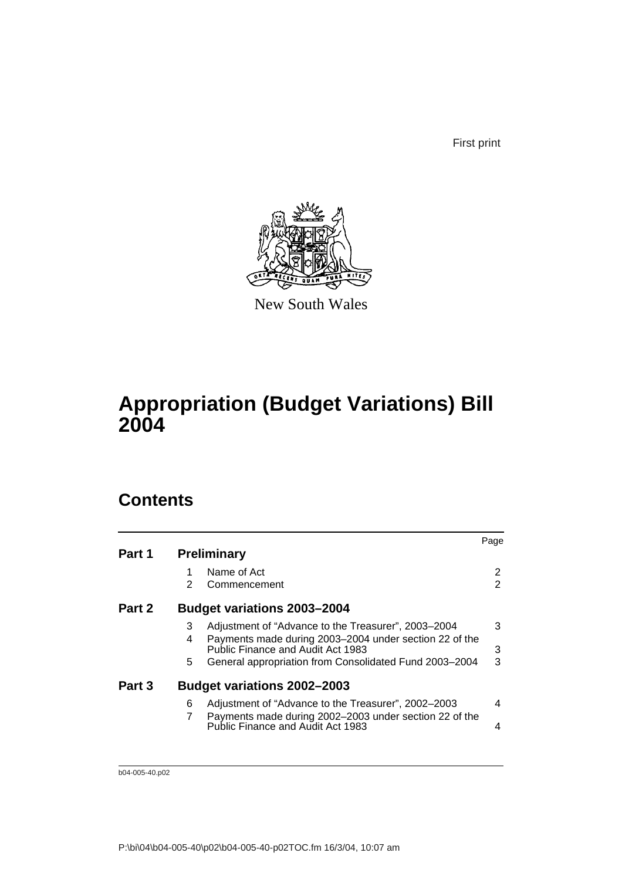First print



New South Wales

# **Appropriation (Budget Variations) Bill 2004**

# **Contents**

| Part 1 |             | <b>Preliminary</b>                                                                                                                                                                                           | Page                |
|--------|-------------|--------------------------------------------------------------------------------------------------------------------------------------------------------------------------------------------------------------|---------------------|
|        | 2           | Name of Act<br>Commencement                                                                                                                                                                                  | 2<br>$\overline{2}$ |
| Part 2 |             | <b>Budget variations 2003-2004</b>                                                                                                                                                                           |                     |
|        | 3<br>4<br>5 | Adjustment of "Advance to the Treasurer", 2003–2004<br>Payments made during 2003-2004 under section 22 of the<br>Public Finance and Audit Act 1983<br>General appropriation from Consolidated Fund 2003–2004 | 3<br>3<br>3         |
| Part 3 |             | <b>Budget variations 2002-2003</b>                                                                                                                                                                           |                     |
|        | 6<br>7      | Adjustment of "Advance to the Treasurer", 2002-2003<br>Payments made during 2002-2003 under section 22 of the<br>Public Finance and Audit Act 1983                                                           | 4<br>4              |

b04-005-40.p02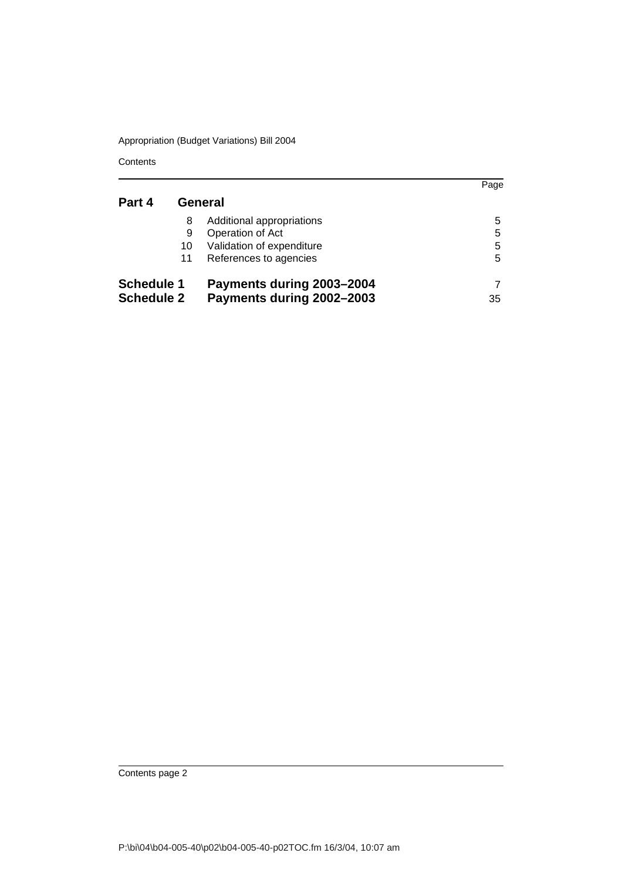**Contents** 

|                   |    |                           | Page |
|-------------------|----|---------------------------|------|
| Part 4            |    | General                   |      |
|                   | 8  | Additional appropriations | 5    |
|                   | 9  | Operation of Act          | 5    |
|                   | 10 | Validation of expenditure | 5    |
|                   | 11 | References to agencies    | 5    |
| <b>Schedule 1</b> |    | Payments during 2003-2004 |      |
| <b>Schedule 2</b> |    | Payments during 2002-2003 | 35   |

Contents page 2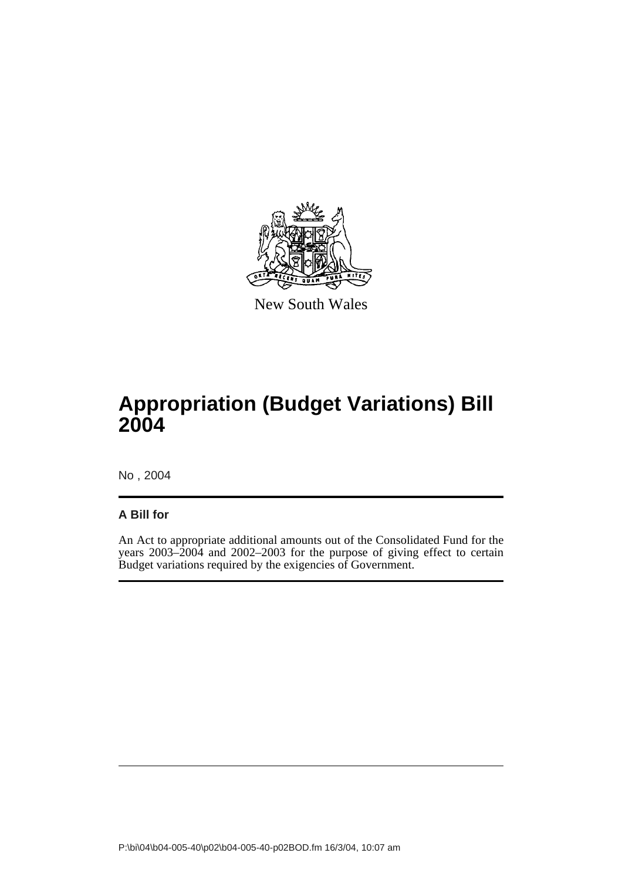

New South Wales

# **Appropriation (Budget Variations) Bill 2004**

No , 2004

## **A Bill for**

An Act to appropriate additional amounts out of the Consolidated Fund for the years 2003–2004 and 2002–2003 for the purpose of giving effect to certain Budget variations required by the exigencies of Government.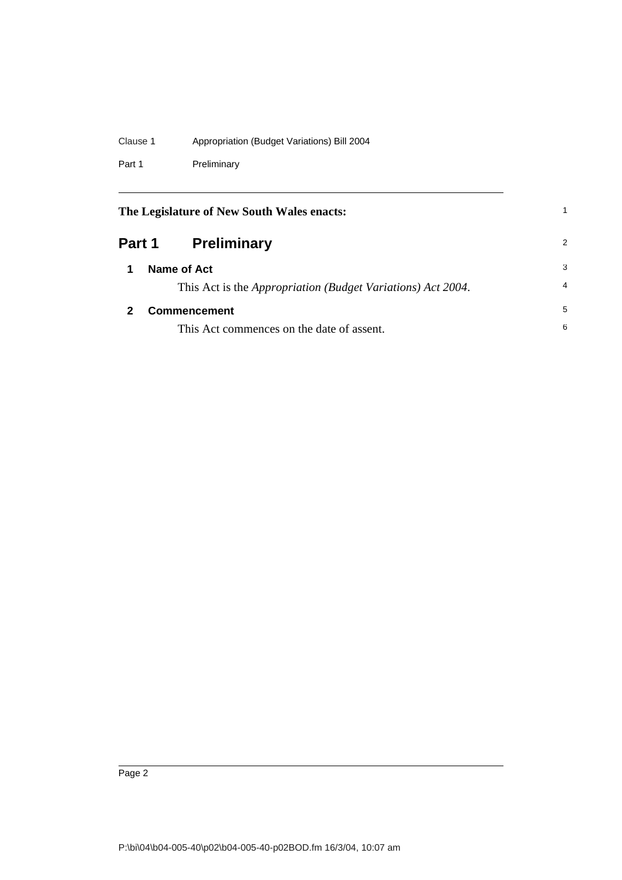| Clause 1 | Appropriation (Budget Variations) Bill 2004 |
|----------|---------------------------------------------|
| Part 1   | Preliminary                                 |

|   | 1<br>The Legislature of New South Wales enacts:                     |   |  |
|---|---------------------------------------------------------------------|---|--|
|   | <b>Preliminary</b><br>Part 1                                        | 2 |  |
| 1 | Name of Act                                                         | 3 |  |
|   | This Act is the <i>Appropriation (Budget Variations) Act 2004</i> . | 4 |  |
| 2 | <b>Commencement</b>                                                 | 5 |  |
|   | This Act commences on the date of assent.                           | 6 |  |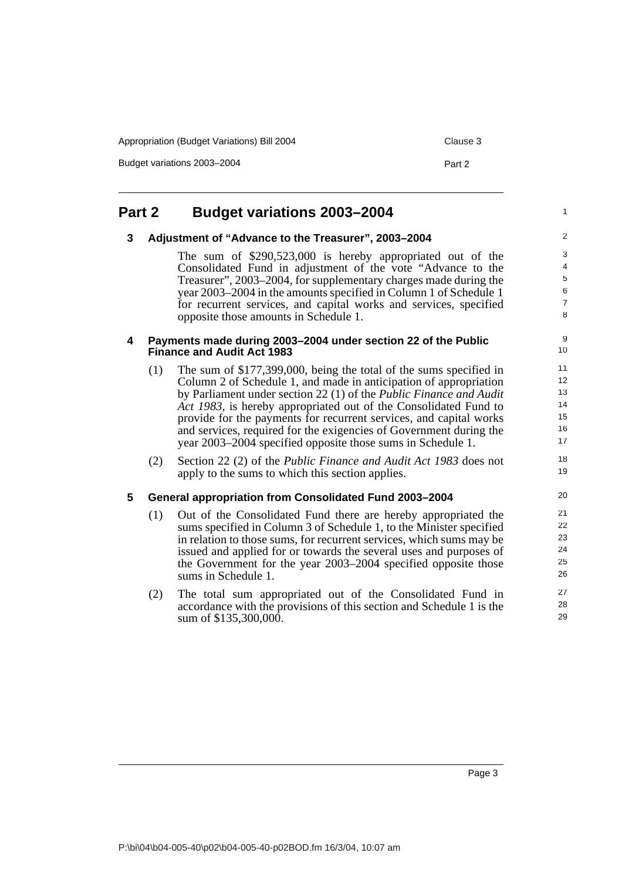Appropriation (Budget Variations) Bill 2004 Clause 3

Budget variations 2003–2004 **Part 2** 

**Part 2** 

|   | art 2 | <b>Budget variations 2003-2004</b>                                                                                                | $\mathbf{1}$   |
|---|-------|-----------------------------------------------------------------------------------------------------------------------------------|----------------|
| 3 |       | Adjustment of "Advance to the Treasurer", 2003-2004                                                                               | 2              |
|   |       | The sum of \$290,523,000 is hereby appropriated out of the                                                                        | 3              |
|   |       | Consolidated Fund in adjustment of the vote "Advance to the                                                                       | $\overline{4}$ |
|   |       | Treasurer", 2003–2004, for supplementary charges made during the                                                                  | 5<br>6         |
|   |       | year 2003–2004 in the amounts specified in Column 1 of Schedule 1                                                                 | $\overline{7}$ |
|   |       | for recurrent services, and capital works and services, specified<br>opposite those amounts in Schedule 1.                        | 8              |
| 4 |       | Payments made during 2003-2004 under section 22 of the Public<br><b>Finance and Audit Act 1983</b>                                | 9<br>10        |
|   | (1)   | The sum of $$177,399,000$ , being the total of the sums specified in                                                              | 11             |
|   |       | Column 2 of Schedule 1, and made in anticipation of appropriation                                                                 | 12             |
|   |       | by Parliament under section 22 (1) of the Public Finance and Audit                                                                | 13             |
|   |       | Act 1983, is hereby appropriated out of the Consolidated Fund to                                                                  | 14             |
|   |       | provide for the payments for recurrent services, and capital works                                                                | 15             |
|   |       | and services, required for the exigencies of Government during the<br>year 2003–2004 specified opposite those sums in Schedule 1. | 16<br>17       |
|   | (2)   | Section 22 (2) of the <i>Public Finance and Audit Act 1983</i> does not                                                           | 18             |
|   |       | apply to the sums to which this section applies.                                                                                  | 19             |
| 5 |       | <b>General appropriation from Consolidated Fund 2003-2004</b>                                                                     | 20             |
|   | (1)   | Out of the Consolidated Fund there are hereby appropriated the                                                                    | 21             |
|   |       | sums specified in Column 3 of Schedule 1, to the Minister specified                                                               | 22             |
|   |       | in relation to those sums, for recurrent services, which sums may be                                                              | 23             |
|   |       | issued and applied for or towards the several uses and purposes of                                                                | 24             |
|   |       | the Government for the year 2003–2004 specified opposite those                                                                    | 25             |
|   |       | sums in Schedule 1.                                                                                                               | 26             |
|   | (2)   | The total sum appropriated out of the Consolidated Fund in                                                                        | 27             |
|   |       | accordance with the provisions of this section and Schedule 1 is the                                                              | 28             |

Page 3

29

sum of \$135,300,000.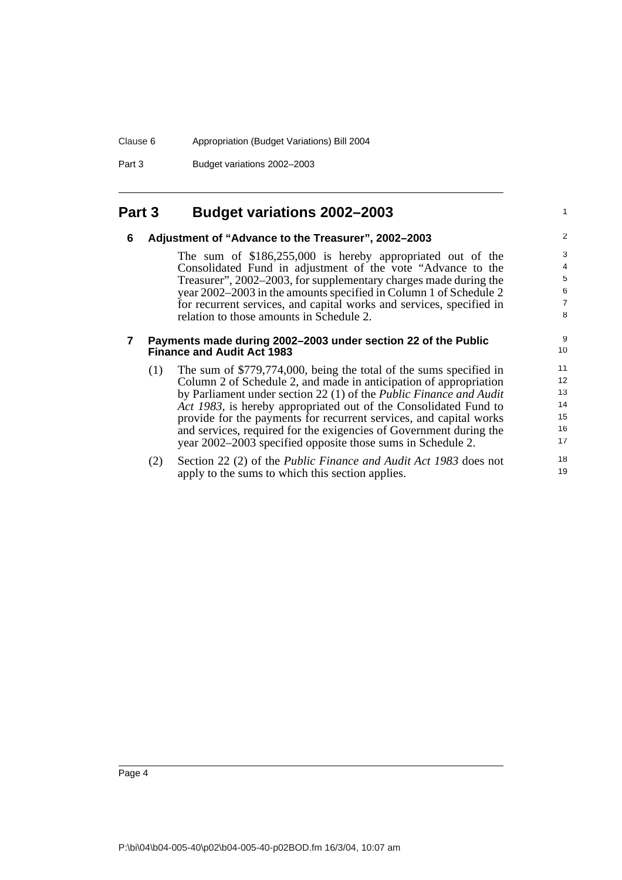Part 3 Budget variations 2002–2003

### **Part 3 Budget variations 2002–2003**

#### **6 Adjustment of "Advance to the Treasurer", 2002–2003**

The sum of \$186,255,000 is hereby appropriated out of the Consolidated Fund in adjustment of the vote "Advance to the Treasurer", 2002–2003, for supplementary charges made during the year 2002–2003 in the amounts specified in Column 1 of Schedule 2 for recurrent services, and capital works and services, specified in relation to those amounts in Schedule 2.

1

#### **7 Payments made during 2002–2003 under section 22 of the Public Finance and Audit Act 1983**

- (1) The sum of \$779,774,000, being the total of the sums specified in Column 2 of Schedule 2, and made in anticipation of appropriation by Parliament under section 22 (1) of the *Public Finance and Audit Act 1983*, is hereby appropriated out of the Consolidated Fund to provide for the payments for recurrent services, and capital works and services, required for the exigencies of Government during the year 2002–2003 specified opposite those sums in Schedule 2.
- (2) Section 22 (2) of the *Public Finance and Audit Act 1983* does not apply to the sums to which this section applies.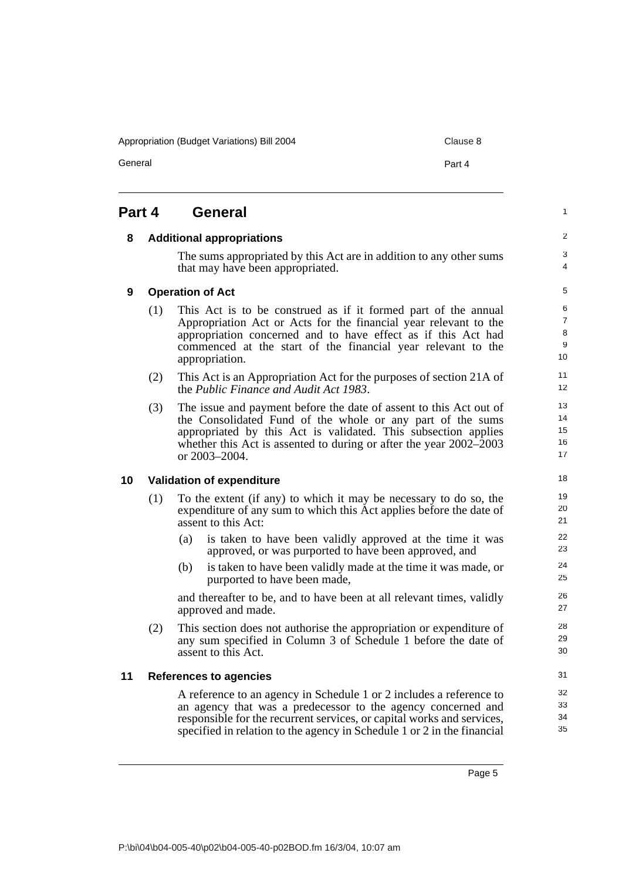Appropriation (Budget Variations) Bill 2004 Clause 8

General **Part 4** 

| Part 4 |     | <b>General</b>                                                                                                                                                                                                                                                                            |
|--------|-----|-------------------------------------------------------------------------------------------------------------------------------------------------------------------------------------------------------------------------------------------------------------------------------------------|
| 8      |     | <b>Additional appropriations</b>                                                                                                                                                                                                                                                          |
|        |     | The sums appropriated by this Act are in addition to any other sums<br>that may have been appropriated.                                                                                                                                                                                   |
| 9      |     | <b>Operation of Act</b>                                                                                                                                                                                                                                                                   |
|        | (1) | This Act is to be construed as if it formed part of the annual<br>Appropriation Act or Acts for the financial year relevant to the<br>appropriation concerned and to have effect as if this Act had<br>commenced at the start of the financial year relevant to the<br>appropriation.     |
|        | (2) | This Act is an Appropriation Act for the purposes of section 21A of<br>the Public Finance and Audit Act 1983.                                                                                                                                                                             |
|        | (3) | The issue and payment before the date of assent to this Act out of<br>the Consolidated Fund of the whole or any part of the sums<br>appropriated by this Act is validated. This subsection applies<br>whether this Act is assented to during or after the year 2002–2003<br>or 2003-2004. |
| 10     |     | <b>Validation of expenditure</b>                                                                                                                                                                                                                                                          |
|        | (1) | To the extent (if any) to which it may be necessary to do so, the<br>expenditure of any sum to which this Act applies before the date of<br>assent to this Act:                                                                                                                           |
|        |     | is taken to have been validly approved at the time it was<br>(a)<br>approved, or was purported to have been approved, and                                                                                                                                                                 |
|        |     | is taken to have been validly made at the time it was made, or<br>(b)<br>purported to have been made,                                                                                                                                                                                     |
|        |     | and thereafter to be, and to have been at all relevant times, validly<br>approved and made.                                                                                                                                                                                               |
|        | (2) | This section does not authorise the appropriation or expenditure of<br>any sum specified in Column 3 of Schedule 1 before the date of<br>assent to this Act.                                                                                                                              |
| 11     |     | <b>References to agencies</b>                                                                                                                                                                                                                                                             |
|        |     | A reference to an agency in Schedule 1 or 2 includes a reference to<br>an agency that was a predecessor to the agency concerned and<br>responsible for the recurrent services, or capital works and services,<br>specified in relation to the agency in Schedule 1 or 2 in the financial  |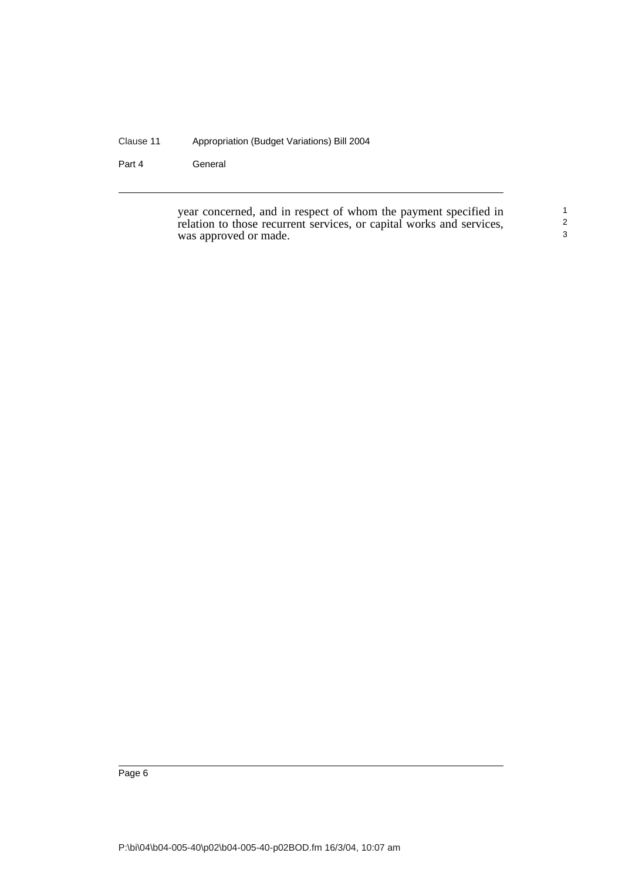#### Clause 11 Appropriation (Budget Variations) Bill 2004

Part 4 **General** 

year concerned, and in respect of whom the payment specified in relation to those recurrent services, or capital works and services, was approved or made.

1 2 3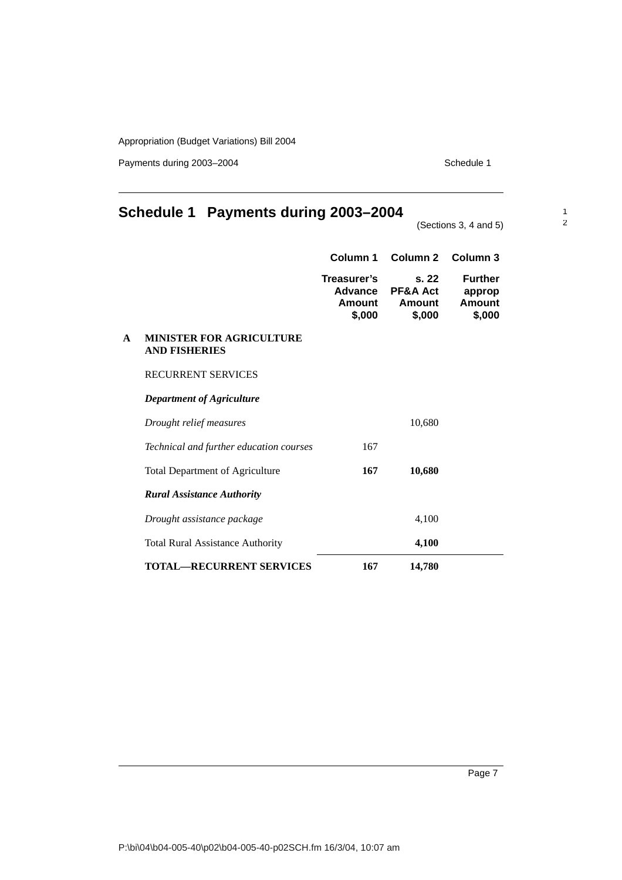Payments during 2003-2004 Schedule 1

1 2

# **Schedule 1 Payments during 2003–2004**

(Sections 3, 4 and 5)

|                                                         | Column 1                                                 | <b>Column 2</b>                      | Column 3                                     |
|---------------------------------------------------------|----------------------------------------------------------|--------------------------------------|----------------------------------------------|
|                                                         | Treasurer's<br><b>Advance</b><br><b>Amount</b><br>\$,000 | s.22<br>PF&A Act<br>Amount<br>\$,000 | <b>Further</b><br>approp<br>Amount<br>\$,000 |
| <b>MINISTER FOR AGRICULTURE</b><br><b>AND FISHERIES</b> |                                                          |                                      |                                              |
| <b>RECURRENT SERVICES</b>                               |                                                          |                                      |                                              |
| Department of Agriculture                               |                                                          |                                      |                                              |
| Drought relief measures                                 |                                                          | 10,680                               |                                              |
| Technical and further education courses                 | 167                                                      |                                      |                                              |
| <b>Total Department of Agriculture</b>                  | 167                                                      | 10,680                               |                                              |
| <b>Rural Assistance Authority</b>                       |                                                          |                                      |                                              |
| Drought assistance package                              |                                                          | 4,100                                |                                              |
| <b>Total Rural Assistance Authority</b>                 |                                                          | 4,100                                |                                              |
| <b>TOTAL-RECURRENT SERVICES</b>                         | 167                                                      | 14,780                               |                                              |
|                                                         |                                                          |                                      |                                              |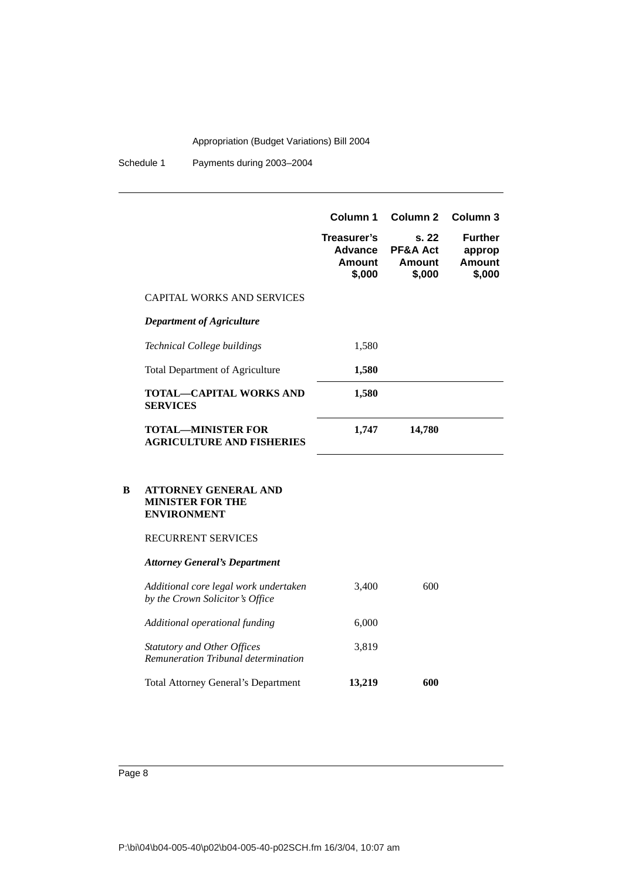Schedule 1 Payments during 2003–2004

|   |                                                                              | Column 1                                   | Column 2                                     | Column 3                                            |
|---|------------------------------------------------------------------------------|--------------------------------------------|----------------------------------------------|-----------------------------------------------------|
|   |                                                                              | Treasurer's<br>Advance<br>Amount<br>\$,000 | s. 22<br>PF&A Act<br><b>Amount</b><br>\$,000 | <b>Further</b><br>approp<br><b>Amount</b><br>\$,000 |
|   | <b>CAPITAL WORKS AND SERVICES</b>                                            |                                            |                                              |                                                     |
|   | <b>Department of Agriculture</b>                                             |                                            |                                              |                                                     |
|   | Technical College buildings                                                  | 1,580                                      |                                              |                                                     |
|   | <b>Total Department of Agriculture</b>                                       | 1,580                                      |                                              |                                                     |
|   | <b>TOTAL-CAPITAL WORKS AND</b><br><b>SERVICES</b>                            | 1,580                                      |                                              |                                                     |
|   | <b>TOTAL—MINISTER FOR</b><br><b>AGRICULTURE AND FISHERIES</b>                | 1,747                                      | 14,780                                       |                                                     |
| В | <b>ATTORNEY GENERAL AND</b><br><b>MINISTER FOR THE</b><br><b>ENVIRONMENT</b> |                                            |                                              |                                                     |
|   | <b>RECURRENT SERVICES</b>                                                    |                                            |                                              |                                                     |
|   | <b>Attorney General's Department</b>                                         |                                            |                                              |                                                     |
|   |                                                                              | 2.100                                      | $\sim$ 00                                    |                                                     |

| Additional core legal work undertaken<br>by the Crown Solicitor's Office  | 3.400  | 600 |
|---------------------------------------------------------------------------|--------|-----|
| Additional operational funding                                            | 6,000  |     |
| <b>Statutory and Other Offices</b><br>Remuneration Tribunal determination | 3.819  |     |
| Total Attorney General's Department                                       | 13,219 | 600 |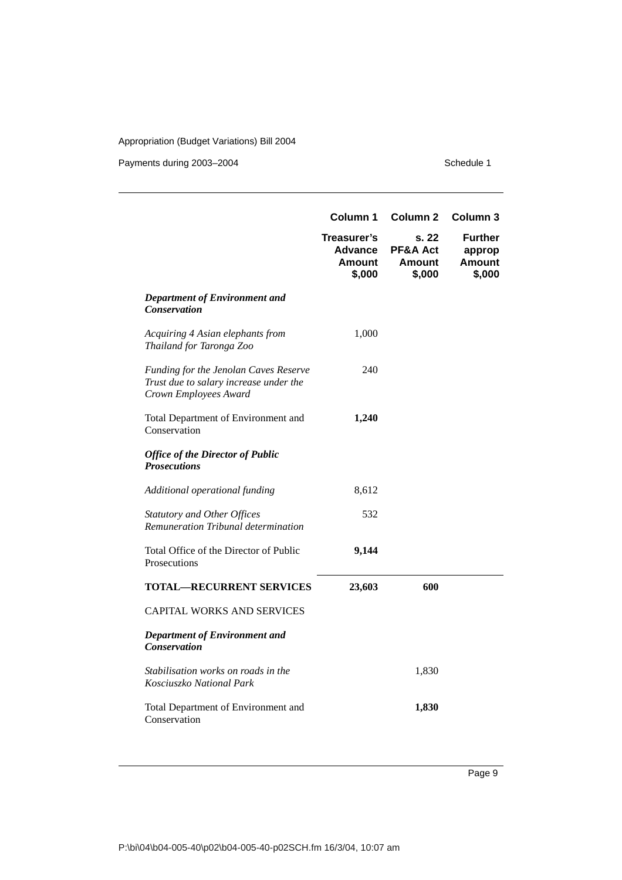Payments during 2003-2004 Schedule 1

|                                                                                                          | Column 1                                                 | Column <sub>2</sub>                          | Column <sub>3</sub>                                 |
|----------------------------------------------------------------------------------------------------------|----------------------------------------------------------|----------------------------------------------|-----------------------------------------------------|
|                                                                                                          | Treasurer's<br><b>Advance</b><br><b>Amount</b><br>\$,000 | s. 22<br>PF&A Act<br><b>Amount</b><br>\$,000 | <b>Further</b><br>approp<br><b>Amount</b><br>\$,000 |
| <b>Department of Environment and</b><br><b>Conservation</b>                                              |                                                          |                                              |                                                     |
| Acquiring 4 Asian elephants from<br>Thailand for Taronga Zoo                                             | 1,000                                                    |                                              |                                                     |
| Funding for the Jenolan Caves Reserve<br>Trust due to salary increase under the<br>Crown Employees Award | 240                                                      |                                              |                                                     |
| Total Department of Environment and<br>Conservation                                                      | 1,240                                                    |                                              |                                                     |
| <b>Office of the Director of Public</b><br><b>Prosecutions</b>                                           |                                                          |                                              |                                                     |
| Additional operational funding                                                                           | 8,612                                                    |                                              |                                                     |
| <b>Statutory and Other Offices</b><br>Remuneration Tribunal determination                                | 532                                                      |                                              |                                                     |
| Total Office of the Director of Public<br>Prosecutions                                                   | 9,144                                                    |                                              |                                                     |
| <b>TOTAL—RECURRENT SERVICES</b>                                                                          | 23,603                                                   | 600                                          |                                                     |
| CAPITAL WORKS AND SERVICES                                                                               |                                                          |                                              |                                                     |
| Department of Environment and<br><b>Conservation</b>                                                     |                                                          |                                              |                                                     |
| Stabilisation works on roads in the<br>Kosciuszko National Park                                          |                                                          | 1,830                                        |                                                     |
| Total Department of Environment and<br>Conservation                                                      |                                                          | 1,830                                        |                                                     |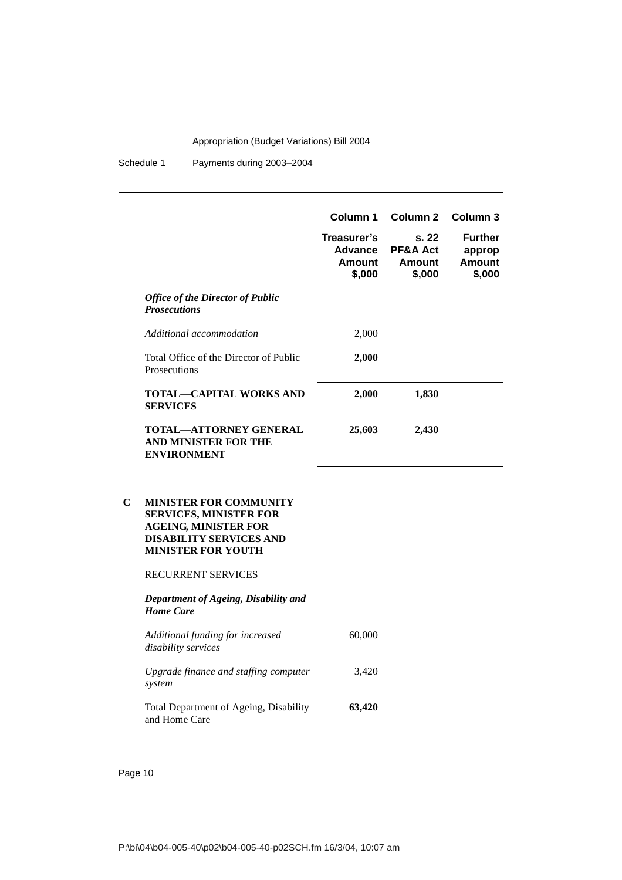Schedule 1 Payments during 2003–2004

|   |                                                                                                                                                              | Column 1                                                 | <b>Column 2</b>                                         | Column 3                                            |
|---|--------------------------------------------------------------------------------------------------------------------------------------------------------------|----------------------------------------------------------|---------------------------------------------------------|-----------------------------------------------------|
|   |                                                                                                                                                              | Treasurer's<br><b>Advance</b><br><b>Amount</b><br>\$,000 | s. 22<br><b>PF&amp;A Act</b><br><b>Amount</b><br>\$,000 | <b>Further</b><br>approp<br><b>Amount</b><br>\$,000 |
|   | <b>Office of the Director of Public</b><br><b>Prosecutions</b>                                                                                               |                                                          |                                                         |                                                     |
|   | Additional accommodation                                                                                                                                     | 2,000                                                    |                                                         |                                                     |
|   | Total Office of the Director of Public<br>Prosecutions                                                                                                       | 2,000                                                    |                                                         |                                                     |
|   | <b>TOTAL-CAPITAL WORKS AND</b><br><b>SERVICES</b>                                                                                                            | 2,000                                                    | 1,830                                                   |                                                     |
|   | TOTAL-ATTORNEY GENERAL<br>AND MINISTER FOR THE<br><b>ENVIRONMENT</b>                                                                                         | 25,603                                                   | 2,430                                                   |                                                     |
| C | <b>MINISTER FOR COMMUNITY</b><br><b>SERVICES, MINISTER FOR</b><br><b>AGEING, MINISTER FOR</b><br><b>DISABILITY SERVICES AND</b><br><b>MINISTER FOR YOUTH</b> |                                                          |                                                         |                                                     |
|   | <b>RECURRENT SERVICES</b>                                                                                                                                    |                                                          |                                                         |                                                     |
|   | Department of Ageing, Disability and<br><b>Home Care</b>                                                                                                     |                                                          |                                                         |                                                     |
|   | Additional funding for increased<br>disability services                                                                                                      | 60,000                                                   |                                                         |                                                     |
|   | Upgrade finance and staffing computer<br>system                                                                                                              | 3,420                                                    |                                                         |                                                     |
|   | Total Department of Ageing, Disability<br>and Home Care                                                                                                      | 63,420                                                   |                                                         |                                                     |
|   |                                                                                                                                                              |                                                          |                                                         |                                                     |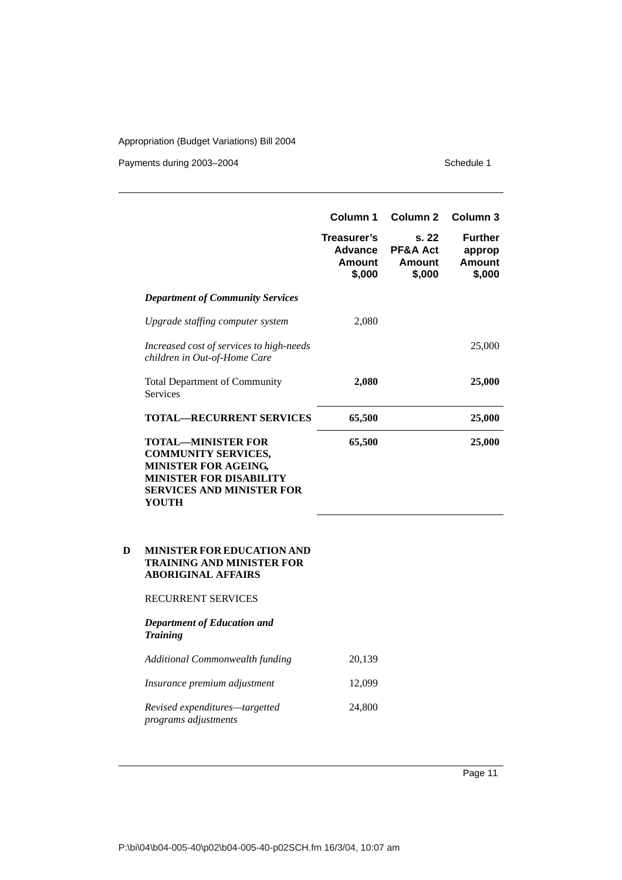Payments during 2003-2004 Schedule 1

|   |                                                                                                                                                                              | Column 1                                          | Column <sub>2</sub>                          | Column 3                                            |
|---|------------------------------------------------------------------------------------------------------------------------------------------------------------------------------|---------------------------------------------------|----------------------------------------------|-----------------------------------------------------|
|   |                                                                                                                                                                              | Treasurer's<br><b>Advance</b><br>Amount<br>\$,000 | s. 22<br>PF&A Act<br><b>Amount</b><br>\$,000 | <b>Further</b><br>approp<br><b>Amount</b><br>\$,000 |
|   | <b>Department of Community Services</b>                                                                                                                                      |                                                   |                                              |                                                     |
|   | Upgrade staffing computer system                                                                                                                                             | 2,080                                             |                                              |                                                     |
|   | Increased cost of services to high-needs<br>children in Out-of-Home Care                                                                                                     |                                                   |                                              | 25,000                                              |
|   | <b>Total Department of Community</b><br>Services                                                                                                                             | 2,080                                             |                                              | 25,000                                              |
|   | <b>TOTAL-RECURRENT SERVICES</b>                                                                                                                                              | 65,500                                            |                                              | 25,000                                              |
|   | <b>TOTAL-MINISTER FOR</b><br><b>COMMUNITY SERVICES,</b><br><b>MINISTER FOR AGEING,</b><br><b>MINISTER FOR DISABILITY</b><br><b>SERVICES AND MINISTER FOR</b><br><b>YOUTH</b> | 65,500                                            |                                              | 25,000                                              |
| D | <b>MINISTER FOR EDUCATION AND</b><br><b>TRAINING AND MINISTER FOR</b><br><b>ABORIGINAL AFFAIRS</b>                                                                           |                                                   |                                              |                                                     |
|   | <b>RECURRENT SERVICES</b>                                                                                                                                                    |                                                   |                                              |                                                     |
|   | <b>Department of Education and</b><br><b>Training</b>                                                                                                                        |                                                   |                                              |                                                     |
|   | Additional Commonwealth funding                                                                                                                                              | 20,139                                            |                                              |                                                     |
|   | Insurance premium adjustment                                                                                                                                                 | 12,099                                            |                                              |                                                     |
|   | Revised expenditures-targetted<br>programs adjustments                                                                                                                       | 24,800                                            |                                              |                                                     |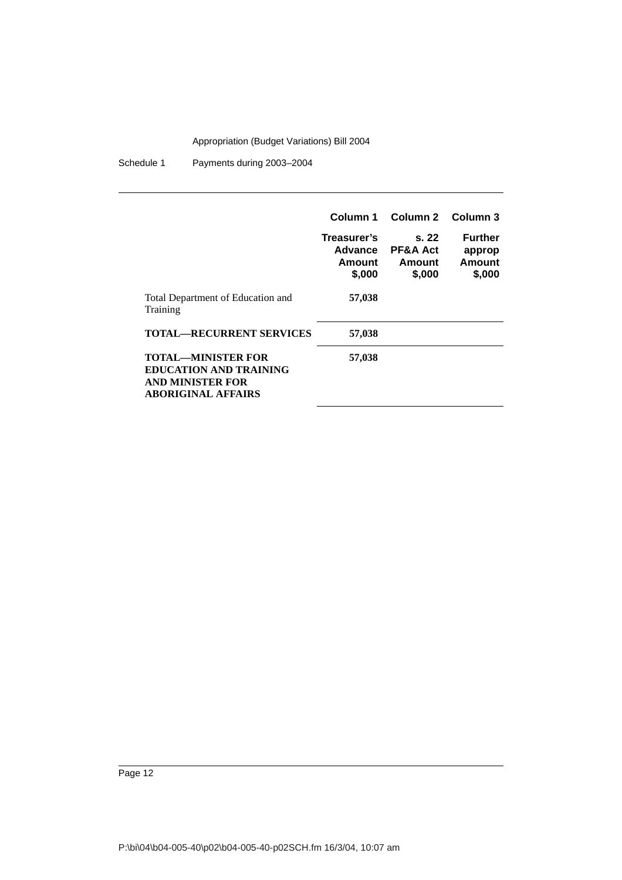Schedule 1 Payments during 2003–2004

|                                                                                                                    | Column 1                                          | Column 2                                        | Column 3                                     |
|--------------------------------------------------------------------------------------------------------------------|---------------------------------------------------|-------------------------------------------------|----------------------------------------------|
|                                                                                                                    | Treasurer's<br>Advance<br><b>Amount</b><br>\$,000 | s.22<br><b>PF&amp;A Act</b><br>Amount<br>\$,000 | <b>Further</b><br>approp<br>Amount<br>\$,000 |
| Total Department of Education and<br>Training                                                                      | 57,038                                            |                                                 |                                              |
| <b>TOTAL—RECURRENT SERVICES</b>                                                                                    | 57,038                                            |                                                 |                                              |
| <b>TOTAL—MINISTER FOR</b><br><b>EDUCATION AND TRAINING</b><br><b>AND MINISTER FOR</b><br><b>ABORIGINAL AFFAIRS</b> | 57,038                                            |                                                 |                                              |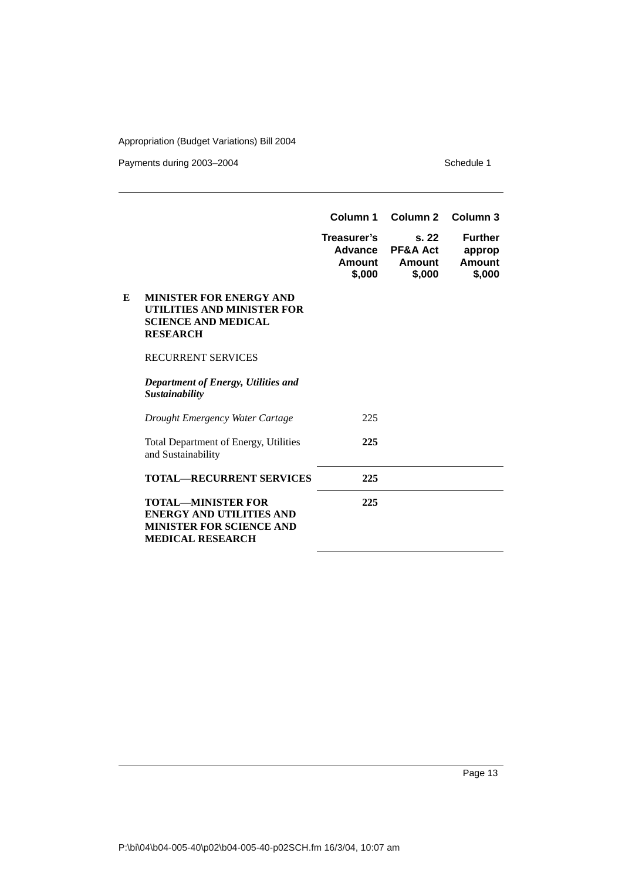Payments during 2003-2004 Schedule 1

|   |                                                                                                                            | Column 1                                   | Column 2 Column 3                    |                                              |
|---|----------------------------------------------------------------------------------------------------------------------------|--------------------------------------------|--------------------------------------|----------------------------------------------|
|   |                                                                                                                            | Treasurer's<br>Advance<br>Amount<br>\$,000 | s.22<br>PF&A Act<br>Amount<br>\$,000 | <b>Further</b><br>approp<br>Amount<br>\$,000 |
| Е | <b>MINISTER FOR ENERGY AND</b><br><b>UTILITIES AND MINISTER FOR</b><br><b>SCIENCE AND MEDICAL</b><br><b>RESEARCH</b>       |                                            |                                      |                                              |
|   | <b>RECURRENT SERVICES</b>                                                                                                  |                                            |                                      |                                              |
|   | Department of Energy, Utilities and<br>Sustainability                                                                      |                                            |                                      |                                              |
|   | Drought Emergency Water Cartage                                                                                            | 225                                        |                                      |                                              |
|   | <b>Total Department of Energy, Utilities</b><br>and Sustainability                                                         | 225                                        |                                      |                                              |
|   | <b>TOTAL—RECURRENT SERVICES</b>                                                                                            | 225                                        |                                      |                                              |
|   | <b>TOTAL—MINISTER FOR</b><br><b>ENERGY AND UTILITIES AND</b><br><b>MINISTER FOR SCIENCE AND</b><br><b>MEDICAL RESEARCH</b> | 225                                        |                                      |                                              |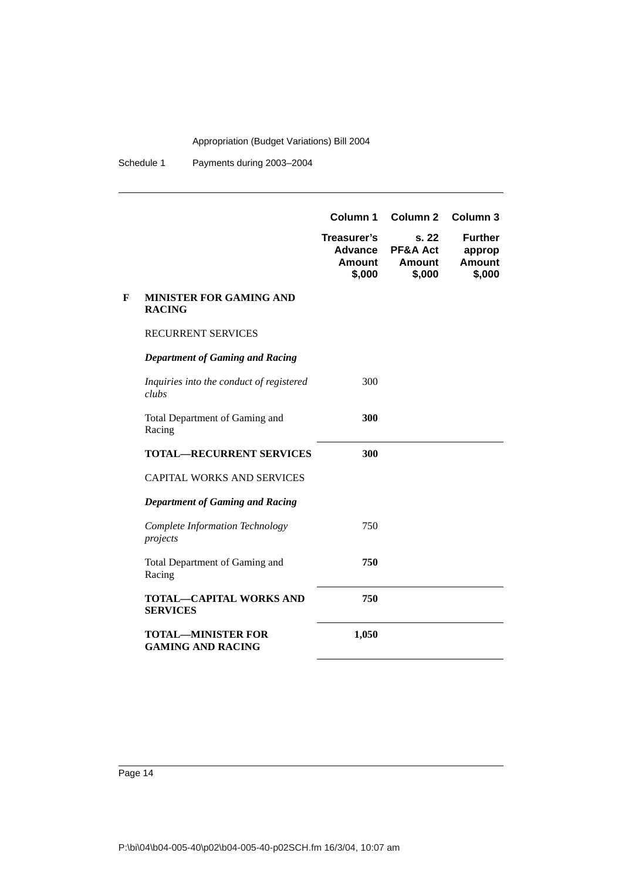Schedule 1 Payments during 2003–2004

|   |                                                       | Column 1<br>Treasurer's<br>Advance<br><b>Amount</b><br>\$,000 | Column <sub>2</sub><br>s.22<br>PF&A Act<br><b>Amount</b><br>\$,000 | Column 3<br><b>Further</b><br>approp<br><b>Amount</b><br>\$,000 |
|---|-------------------------------------------------------|---------------------------------------------------------------|--------------------------------------------------------------------|-----------------------------------------------------------------|
| F | <b>MINISTER FOR GAMING AND</b><br><b>RACING</b>       |                                                               |                                                                    |                                                                 |
|   | RECURRENT SERVICES                                    |                                                               |                                                                    |                                                                 |
|   | <b>Department of Gaming and Racing</b>                |                                                               |                                                                    |                                                                 |
|   | Inquiries into the conduct of registered<br>clubs     | 300                                                           |                                                                    |                                                                 |
|   | Total Department of Gaming and<br>Racing              | 300                                                           |                                                                    |                                                                 |
|   | <b>TOTAL-RECURRENT SERVICES</b>                       | 300                                                           |                                                                    |                                                                 |
|   | <b>CAPITAL WORKS AND SERVICES</b>                     |                                                               |                                                                    |                                                                 |
|   | <b>Department of Gaming and Racing</b>                |                                                               |                                                                    |                                                                 |
|   | Complete Information Technology<br>projects           | 750                                                           |                                                                    |                                                                 |
|   | Total Department of Gaming and<br>Racing              | 750                                                           |                                                                    |                                                                 |
|   | <b>TOTAL-CAPITAL WORKS AND</b><br><b>SERVICES</b>     | 750                                                           |                                                                    |                                                                 |
|   | <b>TOTAL-MINISTER FOR</b><br><b>GAMING AND RACING</b> | 1,050                                                         |                                                                    |                                                                 |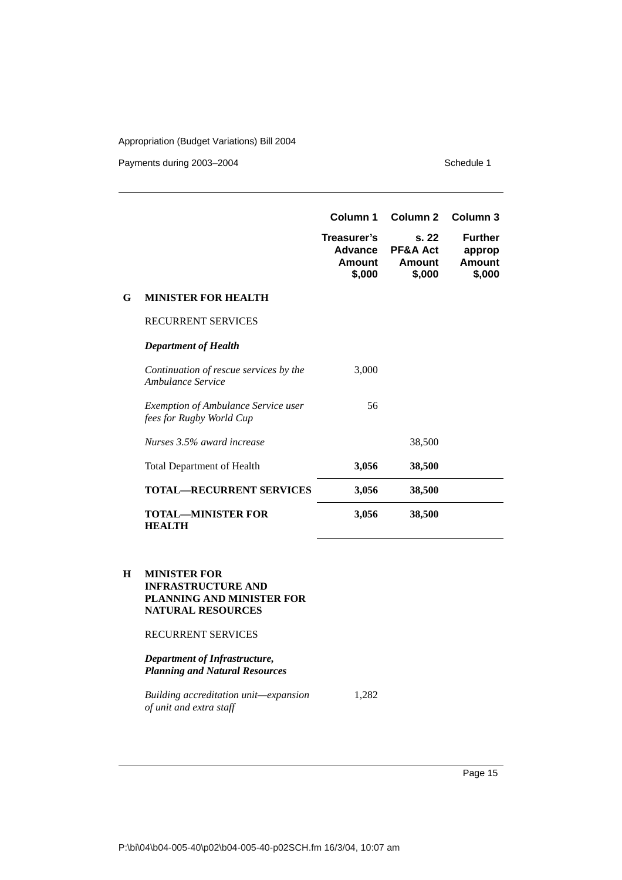Payments during 2003-2004 Schedule 1

|   |                                                                        | Column 1                                   | Column <sub>2</sub>                             | Column 3                                     |
|---|------------------------------------------------------------------------|--------------------------------------------|-------------------------------------------------|----------------------------------------------|
|   |                                                                        | Treasurer's<br>Advance<br>Amount<br>\$,000 | s.22<br><b>PF&amp;A Act</b><br>Amount<br>\$,000 | <b>Further</b><br>approp<br>Amount<br>\$,000 |
| G | <b>MINISTER FOR HEALTH</b>                                             |                                            |                                                 |                                              |
|   | <b>RECURRENT SERVICES</b>                                              |                                            |                                                 |                                              |
|   | <b>Department of Health</b>                                            |                                            |                                                 |                                              |
|   | Continuation of rescue services by the<br>Ambulance Service            | 3,000                                      |                                                 |                                              |
|   | <b>Exemption of Ambulance Service user</b><br>fees for Rugby World Cup | 56                                         |                                                 |                                              |
|   | Nurses 3.5% award increase                                             |                                            | 38,500                                          |                                              |
|   | <b>Total Department of Health</b>                                      | 3,056                                      | 38,500                                          |                                              |
|   | <b>TOTAL—RECURRENT SERVICES</b>                                        | 3,056                                      | 38,500                                          |                                              |
|   | <b>TOTAL-MINISTER FOR</b><br><b>HEALTH</b>                             | 3,056                                      | 38,500                                          |                                              |

**H MINISTER FOR INFRASTRUCTURE AND PLANNING AND MINISTER FOR NATURAL RESOURCES**

RECURRENT SERVICES

*Department of Infrastructure, Planning and Natural Resources*

*Building accreditation unit—expansion of unit and extra staff* 1,282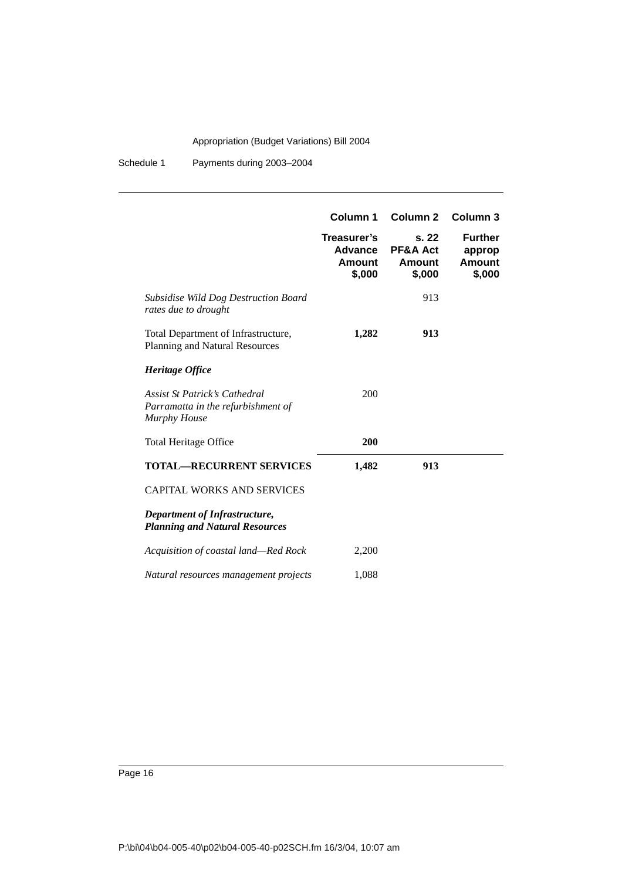Schedule 1 Payments during 2003–2004

|                                                                                                   | Column 1<br>Treasurer's<br>Advance<br>Amount<br>\$,000 | Column <sub>2</sub><br>s.22<br>PF&A Act<br><b>Amount</b><br>\$,000 | Column 3<br><b>Further</b><br>approp<br>Amount<br>\$,000 |
|---------------------------------------------------------------------------------------------------|--------------------------------------------------------|--------------------------------------------------------------------|----------------------------------------------------------|
| Subsidise Wild Dog Destruction Board<br>rates due to drought                                      |                                                        | 913                                                                |                                                          |
| Total Department of Infrastructure,<br>Planning and Natural Resources                             | 1,282                                                  | 913                                                                |                                                          |
| Heritage Office                                                                                   |                                                        |                                                                    |                                                          |
| <b>Assist St Patrick's Cathedral</b><br>Parramatta in the refurbishment of<br><b>Murphy House</b> | 200                                                    |                                                                    |                                                          |
| <b>Total Heritage Office</b>                                                                      | 200                                                    |                                                                    |                                                          |
| <b>TOTAL—RECURRENT SERVICES</b>                                                                   | 1,482                                                  | 913                                                                |                                                          |
| <b>CAPITAL WORKS AND SERVICES</b>                                                                 |                                                        |                                                                    |                                                          |
| Department of Infrastructure,<br><b>Planning and Natural Resources</b>                            |                                                        |                                                                    |                                                          |
| Acquisition of coastal land-Red Rock                                                              | 2,200                                                  |                                                                    |                                                          |
| Natural resources management projects                                                             | 1,088                                                  |                                                                    |                                                          |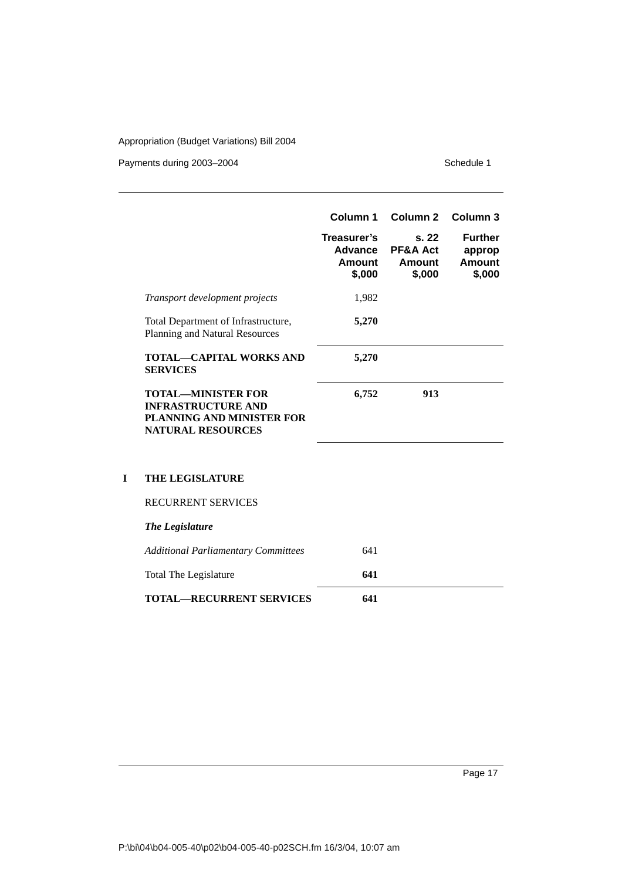Payments during 2003-2004 Schedule 1

|                                                                                                                        | Column 1                                   | Column 2                                        | Column 3                                     |
|------------------------------------------------------------------------------------------------------------------------|--------------------------------------------|-------------------------------------------------|----------------------------------------------|
|                                                                                                                        | Treasurer's<br>Advance<br>Amount<br>\$,000 | s.22<br><b>PF&amp;A Act</b><br>Amount<br>\$,000 | <b>Further</b><br>approp<br>Amount<br>\$,000 |
| <i>Transport development projects</i>                                                                                  | 1,982                                      |                                                 |                                              |
| Total Department of Infrastructure,<br>Planning and Natural Resources                                                  | 5,270                                      |                                                 |                                              |
| <b>TOTAL—CAPITAL WORKS AND</b><br><b>SERVICES</b>                                                                      | 5,270                                      |                                                 |                                              |
| <b>TOTAL—MINISTER FOR</b><br><b>INFRASTRUCTURE AND</b><br><b>PLANNING AND MINISTER FOR</b><br><b>NATURAL RESOURCES</b> | 6,752                                      | 913                                             |                                              |

#### **I THE LEGISLATURE**

RECURRENT SERVICES

| The Legislature |  |
|-----------------|--|
|                 |  |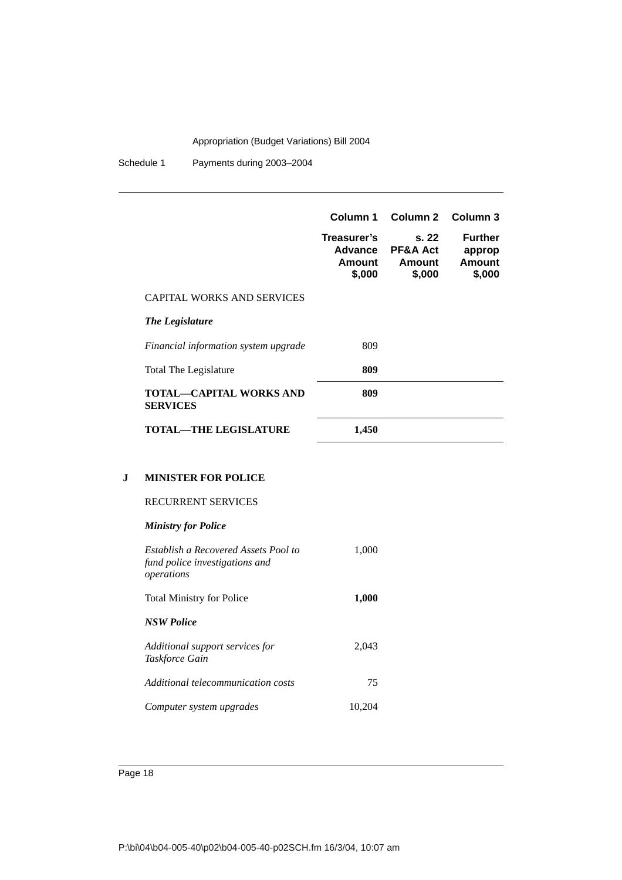Schedule 1 Payments during 2003–2004

|                                            | Column 1                                   | Column 2 Column 3                               |                                              |
|--------------------------------------------|--------------------------------------------|-------------------------------------------------|----------------------------------------------|
|                                            | Treasurer's<br>Advance<br>Amount<br>\$,000 | s.22<br><b>PF&amp;A Act</b><br>Amount<br>\$,000 | <b>Further</b><br>approp<br>Amount<br>\$,000 |
| CAPITAL WORKS AND SERVICES                 |                                            |                                                 |                                              |
| The Legislature                            |                                            |                                                 |                                              |
| Financial information system upgrade       | 809                                        |                                                 |                                              |
| <b>Total The Legislature</b>               | 809                                        |                                                 |                                              |
| TOTAL—CAPITAL WORKS AND<br><b>SERVICES</b> | 809                                        |                                                 |                                              |
| TOTAL—THE LEGISLATURE                      | 1,450                                      |                                                 |                                              |

#### **J MINISTER FOR POLICE**

| <b>RECURRENT SERVICES</b> |  |
|---------------------------|--|
|---------------------------|--|

*Ministry for Police*

| Establish a Recovered Assets Pool to<br>fund police investigations and<br>operations | 1,000  |
|--------------------------------------------------------------------------------------|--------|
| <b>Total Ministry for Police</b>                                                     | 1,000  |
| <b>NSW Police</b>                                                                    |        |
| Additional support services for<br>Taskforce Gain                                    | 2.043  |
| Additional telecommunication costs                                                   | 75     |
| Computer system upgrades                                                             | 10.204 |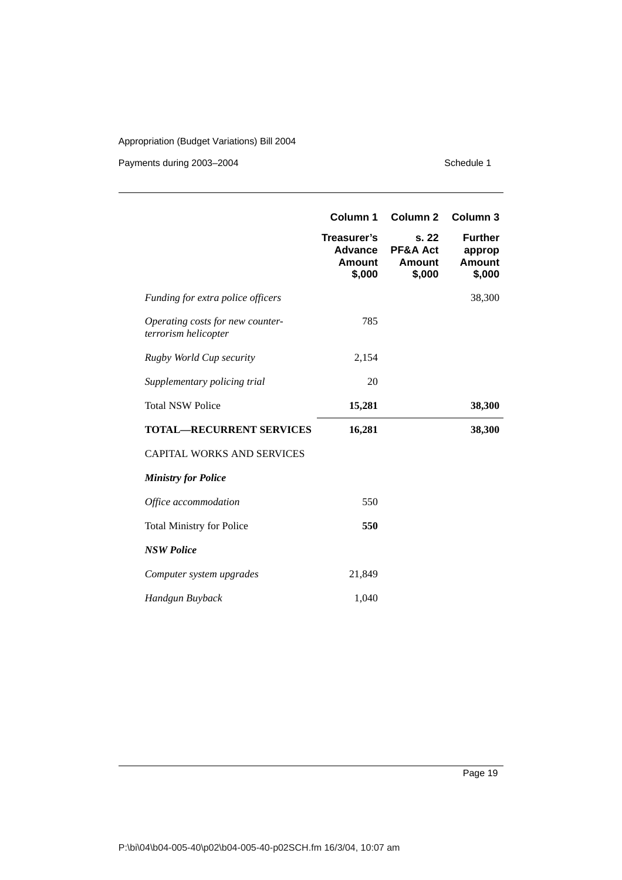Payments during 2003-2004 Schedule 1

|                                                          | Column 1                                          | Column 2                                    | Column 3                                     |
|----------------------------------------------------------|---------------------------------------------------|---------------------------------------------|----------------------------------------------|
|                                                          | Treasurer's<br><b>Advance</b><br>Amount<br>\$,000 | s.22<br>PF&A Act<br><b>Amount</b><br>\$,000 | <b>Further</b><br>approp<br>Amount<br>\$,000 |
| Funding for extra police officers                        |                                                   |                                             | 38,300                                       |
| Operating costs for new counter-<br>terrorism helicopter | 785                                               |                                             |                                              |
| Rugby World Cup security                                 | 2,154                                             |                                             |                                              |
| Supplementary policing trial                             | 20                                                |                                             |                                              |
| <b>Total NSW Police</b>                                  | 15,281                                            |                                             | 38,300                                       |
| <b>TOTAL-RECURRENT SERVICES</b>                          | 16,281                                            |                                             | 38,300                                       |
| <b>CAPITAL WORKS AND SERVICES</b>                        |                                                   |                                             |                                              |
| <b>Ministry for Police</b>                               |                                                   |                                             |                                              |
| Office accommodation                                     | 550                                               |                                             |                                              |
| <b>Total Ministry for Police</b>                         | 550                                               |                                             |                                              |
| <b>NSW Police</b>                                        |                                                   |                                             |                                              |
| Computer system upgrades                                 | 21,849                                            |                                             |                                              |
| Handgun Buyback                                          | 1,040                                             |                                             |                                              |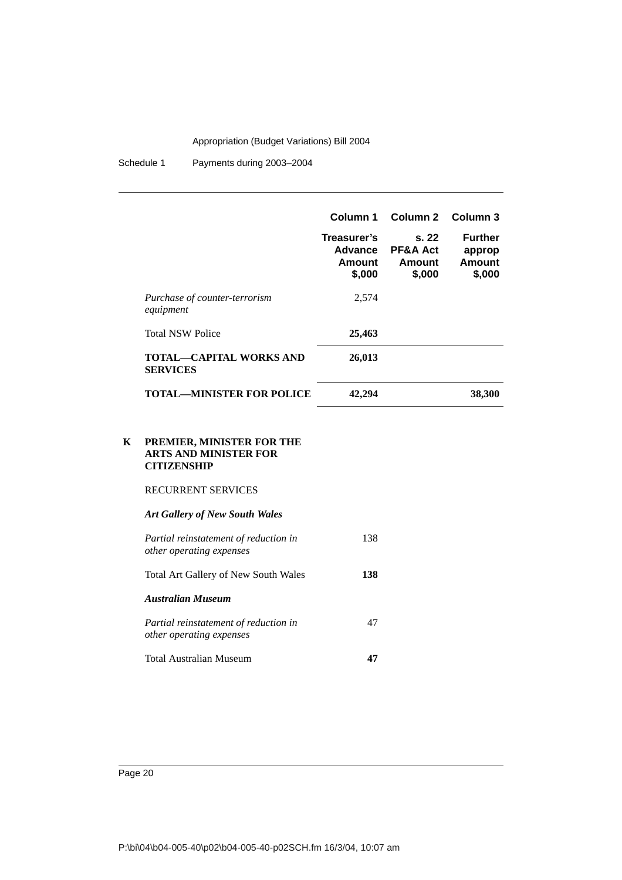Schedule 1 Payments during 2003–2004

|   |                                                                                 | Column 1                                                 | Column 2                                     | Column 3                                            |
|---|---------------------------------------------------------------------------------|----------------------------------------------------------|----------------------------------------------|-----------------------------------------------------|
|   |                                                                                 | Treasurer's<br><b>Advance</b><br><b>Amount</b><br>\$,000 | s. 22<br>PF&A Act<br><b>Amount</b><br>\$,000 | <b>Further</b><br>approp<br><b>Amount</b><br>\$,000 |
|   | Purchase of counter-terrorism<br>equipment                                      | 2,574                                                    |                                              |                                                     |
|   | <b>Total NSW Police</b>                                                         | 25,463                                                   |                                              |                                                     |
|   | <b>TOTAL-CAPITAL WORKS AND</b><br><b>SERVICES</b>                               | 26,013                                                   |                                              |                                                     |
|   | <b>TOTAL—MINISTER FOR POLICE</b>                                                | 42,294                                                   |                                              | 38,300                                              |
| K | PREMIER, MINISTER FOR THE<br><b>ARTS AND MINISTER FOR</b><br><b>CITIZENSHIP</b> |                                                          |                                              |                                                     |
|   | <b>RECURRENT SERVICES</b>                                                       |                                                          |                                              |                                                     |
|   | <b>Art Gallery of New South Wales</b>                                           |                                                          |                                              |                                                     |
|   | Partial reinstatement of reduction in<br>other operating expenses               | 138                                                      |                                              |                                                     |
|   | Total Art Gallery of New South Wales                                            | 138                                                      |                                              |                                                     |
|   | <b>Australian Museum</b>                                                        |                                                          |                                              |                                                     |
|   | Partial reinstatement of reduction in<br>other operating expenses               | 47                                                       |                                              |                                                     |
|   | <b>Total Australian Museum</b>                                                  | 47                                                       |                                              |                                                     |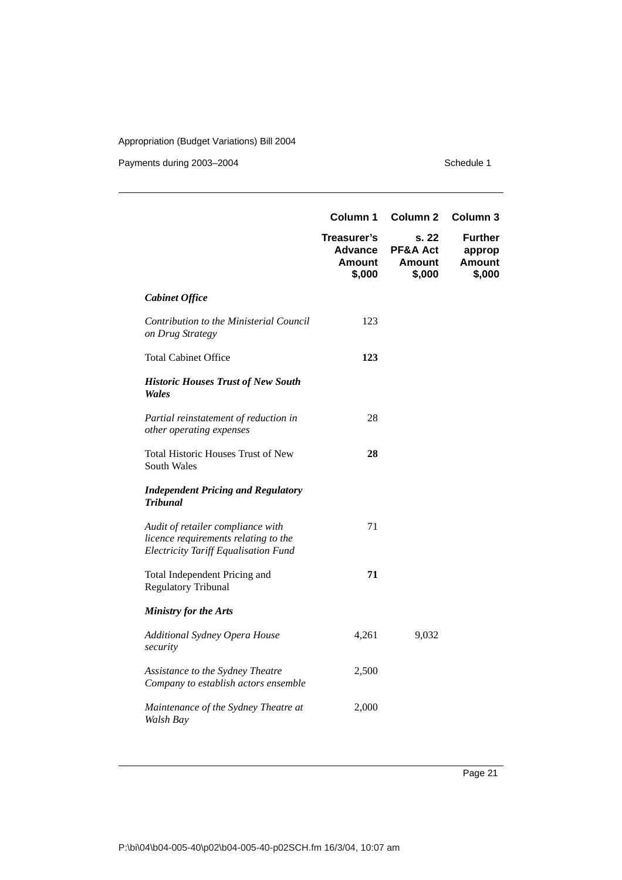Payments during 2003-2004 Schedule 1

|                                                                                                                          | Column 1                                          | Column <sub>2</sub>                          | Column <sub>3</sub>                                 |
|--------------------------------------------------------------------------------------------------------------------------|---------------------------------------------------|----------------------------------------------|-----------------------------------------------------|
|                                                                                                                          | Treasurer's<br><b>Advance</b><br>Amount<br>\$,000 | s. 22<br>PF&A Act<br><b>Amount</b><br>\$,000 | <b>Further</b><br>approp<br><b>Amount</b><br>\$,000 |
| <b>Cabinet Office</b>                                                                                                    |                                                   |                                              |                                                     |
| Contribution to the Ministerial Council<br>on Drug Strategy                                                              | 123                                               |                                              |                                                     |
| <b>Total Cabinet Office</b>                                                                                              | 123                                               |                                              |                                                     |
| <b>Historic Houses Trust of New South</b><br>Wales                                                                       |                                                   |                                              |                                                     |
| Partial reinstatement of reduction in<br>other operating expenses                                                        | 28                                                |                                              |                                                     |
| <b>Total Historic Houses Trust of New</b><br><b>South Wales</b>                                                          | 28                                                |                                              |                                                     |
| <b>Independent Pricing and Regulatory</b><br><b>Tribunal</b>                                                             |                                                   |                                              |                                                     |
| Audit of retailer compliance with<br>licence requirements relating to the<br><b>Electricity Tariff Equalisation Fund</b> | 71                                                |                                              |                                                     |
| Total Independent Pricing and<br><b>Regulatory Tribunal</b>                                                              | 71                                                |                                              |                                                     |
| <b>Ministry for the Arts</b>                                                                                             |                                                   |                                              |                                                     |
| Additional Sydney Opera House<br>security                                                                                | 4,261                                             | 9,032                                        |                                                     |
| Assistance to the Sydney Theatre<br>Company to establish actors ensemble                                                 | 2,500                                             |                                              |                                                     |
| Maintenance of the Sydney Theatre at<br>Walsh Bay                                                                        | 2,000                                             |                                              |                                                     |
|                                                                                                                          |                                                   |                                              |                                                     |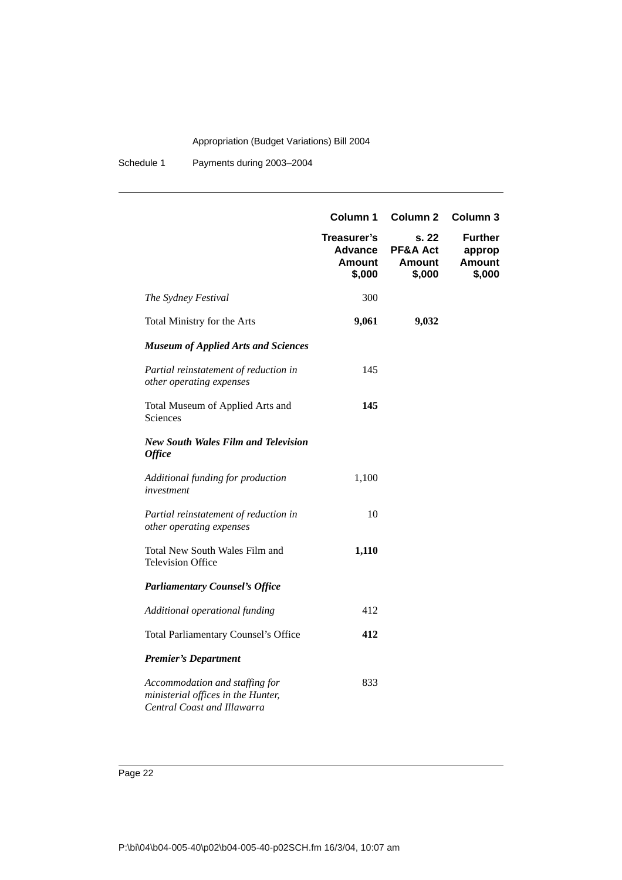Schedule 1 Payments during 2003–2004

|                                                                                                     | Column 1                                          | Column <sub>2</sub>                          | Column 3                                            |
|-----------------------------------------------------------------------------------------------------|---------------------------------------------------|----------------------------------------------|-----------------------------------------------------|
|                                                                                                     | Treasurer's<br><b>Advance</b><br>Amount<br>\$,000 | s. 22<br>PF&A Act<br><b>Amount</b><br>\$,000 | <b>Further</b><br>approp<br><b>Amount</b><br>\$,000 |
| The Sydney Festival                                                                                 | 300                                               |                                              |                                                     |
| Total Ministry for the Arts                                                                         | 9,061                                             | 9,032                                        |                                                     |
| <b>Museum of Applied Arts and Sciences</b>                                                          |                                                   |                                              |                                                     |
| Partial reinstatement of reduction in<br>other operating expenses                                   | 145                                               |                                              |                                                     |
| Total Museum of Applied Arts and<br>Sciences                                                        | 145                                               |                                              |                                                     |
| <b>New South Wales Film and Television</b><br><b>Office</b>                                         |                                                   |                                              |                                                     |
| Additional funding for production<br>investment                                                     | 1,100                                             |                                              |                                                     |
| Partial reinstatement of reduction in<br>other operating expenses                                   | 10                                                |                                              |                                                     |
| Total New South Wales Film and<br><b>Television Office</b>                                          | 1,110                                             |                                              |                                                     |
| <b>Parliamentary Counsel's Office</b>                                                               |                                                   |                                              |                                                     |
| Additional operational funding                                                                      | 412                                               |                                              |                                                     |
| Total Parliamentary Counsel's Office                                                                | 412                                               |                                              |                                                     |
| <b>Premier's Department</b>                                                                         |                                                   |                                              |                                                     |
| Accommodation and staffing for<br>ministerial offices in the Hunter,<br>Central Coast and Illawarra | 833                                               |                                              |                                                     |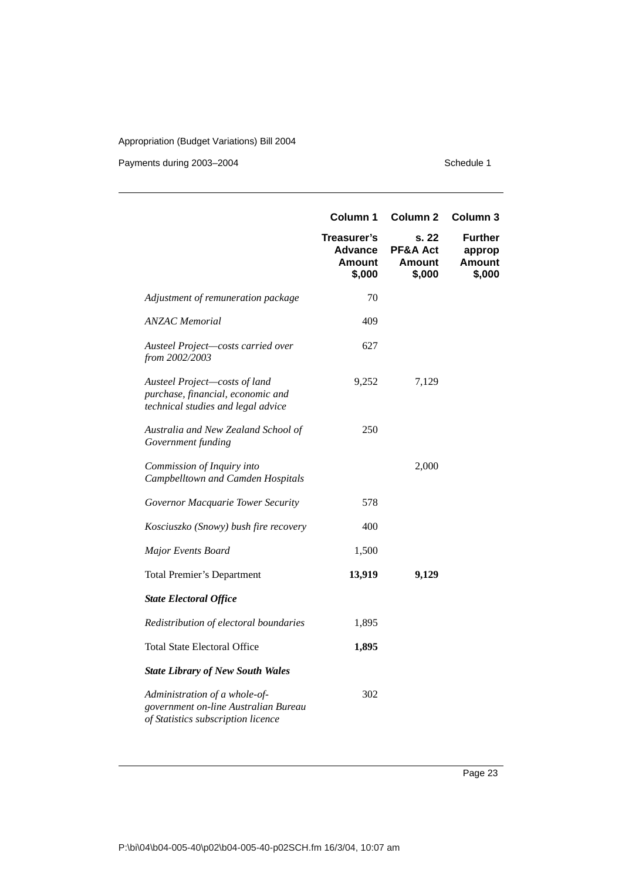Payments during 2003-2004 Schedule 1

|                                                                                                             | Column 1                                          | Column <sub>2</sub>                          | Column 3                                            |
|-------------------------------------------------------------------------------------------------------------|---------------------------------------------------|----------------------------------------------|-----------------------------------------------------|
|                                                                                                             | Treasurer's<br>Advance<br><b>Amount</b><br>\$,000 | s. 22<br>PF&A Act<br><b>Amount</b><br>\$,000 | <b>Further</b><br>approp<br><b>Amount</b><br>\$,000 |
| Adjustment of remuneration package                                                                          | 70                                                |                                              |                                                     |
| <b>ANZAC</b> Memorial                                                                                       | 409                                               |                                              |                                                     |
| Austeel Project-costs carried over<br>from 2002/2003                                                        | 627                                               |                                              |                                                     |
| Austeel Project-costs of land<br>purchase, financial, economic and<br>technical studies and legal advice    | 9,252                                             | 7,129                                        |                                                     |
| Australia and New Zealand School of<br>Government funding                                                   | 250                                               |                                              |                                                     |
| Commission of Inquiry into<br>Campbelltown and Camden Hospitals                                             |                                                   | 2,000                                        |                                                     |
| Governor Macquarie Tower Security                                                                           | 578                                               |                                              |                                                     |
| Kosciuszko (Snowy) bush fire recovery                                                                       | 400                                               |                                              |                                                     |
| <b>Major Events Board</b>                                                                                   | 1,500                                             |                                              |                                                     |
| <b>Total Premier's Department</b>                                                                           | 13,919                                            | 9,129                                        |                                                     |
| <b>State Electoral Office</b>                                                                               |                                                   |                                              |                                                     |
| Redistribution of electoral boundaries                                                                      | 1,895                                             |                                              |                                                     |
| <b>Total State Electoral Office</b>                                                                         | 1,895                                             |                                              |                                                     |
| <b>State Library of New South Wales</b>                                                                     |                                                   |                                              |                                                     |
| Administration of a whole-of-<br>government on-line Australian Bureau<br>of Statistics subscription licence | 302                                               |                                              |                                                     |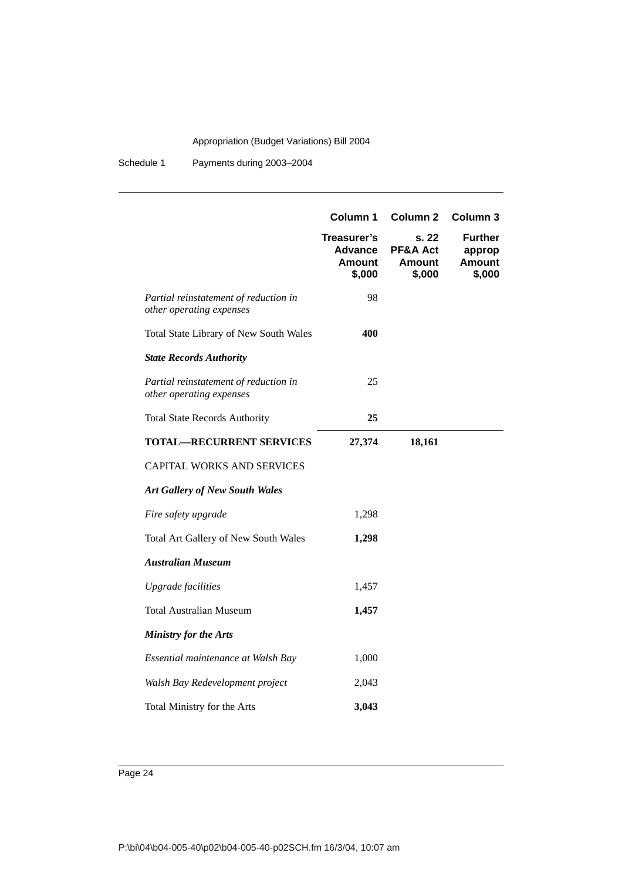Schedule 1 Payments during 2003–2004

|                                                                   | Column 1                                          | Column <sub>2</sub>                          | Column 3                                            |
|-------------------------------------------------------------------|---------------------------------------------------|----------------------------------------------|-----------------------------------------------------|
|                                                                   | Treasurer's<br>Advance<br><b>Amount</b><br>\$,000 | s. 22<br>PF&A Act<br><b>Amount</b><br>\$,000 | <b>Further</b><br>approp<br><b>Amount</b><br>\$,000 |
| Partial reinstatement of reduction in<br>other operating expenses | 98                                                |                                              |                                                     |
| Total State Library of New South Wales                            | 400                                               |                                              |                                                     |
| <b>State Records Authority</b>                                    |                                                   |                                              |                                                     |
| Partial reinstatement of reduction in<br>other operating expenses | 25                                                |                                              |                                                     |
| <b>Total State Records Authority</b>                              | 25                                                |                                              |                                                     |
| <b>TOTAL-RECURRENT SERVICES</b>                                   | 27,374                                            | 18,161                                       |                                                     |
| <b>CAPITAL WORKS AND SERVICES</b>                                 |                                                   |                                              |                                                     |
| <b>Art Gallery of New South Wales</b>                             |                                                   |                                              |                                                     |
| Fire safety upgrade                                               | 1,298                                             |                                              |                                                     |
| Total Art Gallery of New South Wales                              | 1,298                                             |                                              |                                                     |
| <b>Australian Museum</b>                                          |                                                   |                                              |                                                     |
| <b>Upgrade</b> facilities                                         | 1,457                                             |                                              |                                                     |
| <b>Total Australian Museum</b>                                    | 1,457                                             |                                              |                                                     |
| <b>Ministry for the Arts</b>                                      |                                                   |                                              |                                                     |
| Essential maintenance at Walsh Bay                                | 1,000                                             |                                              |                                                     |
| Walsh Bay Redevelopment project                                   | 2,043                                             |                                              |                                                     |
| Total Ministry for the Arts                                       | 3,043                                             |                                              |                                                     |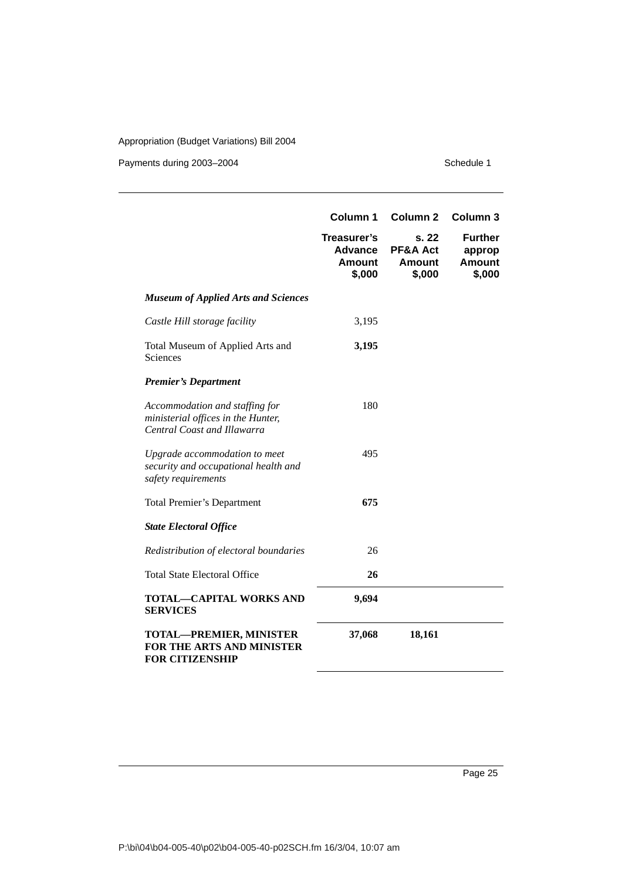Payments during 2003-2004 Schedule 1

|                                                                                                     | Column 1                                          | Column <sub>2</sub>                         | Column <sub>3</sub>                                 |
|-----------------------------------------------------------------------------------------------------|---------------------------------------------------|---------------------------------------------|-----------------------------------------------------|
|                                                                                                     | Treasurer's<br>Advance<br><b>Amount</b><br>\$,000 | s.22<br>PF&A Act<br><b>Amount</b><br>\$,000 | <b>Further</b><br>approp<br><b>Amount</b><br>\$,000 |
| <b>Museum of Applied Arts and Sciences</b>                                                          |                                                   |                                             |                                                     |
| Castle Hill storage facility                                                                        | 3,195                                             |                                             |                                                     |
| Total Museum of Applied Arts and<br>Sciences                                                        | 3,195                                             |                                             |                                                     |
| <b>Premier's Department</b>                                                                         |                                                   |                                             |                                                     |
| Accommodation and staffing for<br>ministerial offices in the Hunter,<br>Central Coast and Illawarra | 180                                               |                                             |                                                     |
| Upgrade accommodation to meet<br>security and occupational health and<br>safety requirements        | 495                                               |                                             |                                                     |
| <b>Total Premier's Department</b>                                                                   | 675                                               |                                             |                                                     |
| <b>State Electoral Office</b>                                                                       |                                                   |                                             |                                                     |
| Redistribution of electoral boundaries                                                              | 26                                                |                                             |                                                     |
| <b>Total State Electoral Office</b>                                                                 | 26                                                |                                             |                                                     |
| <b>TOTAL-CAPITAL WORKS AND</b><br><b>SERVICES</b>                                                   | 9,694                                             |                                             |                                                     |
| <b>TOTAL-PREMIER, MINISTER</b><br>FOR THE ARTS AND MINISTER<br><b>FOR CITIZENSHIP</b>               | 37,068                                            | 18,161                                      |                                                     |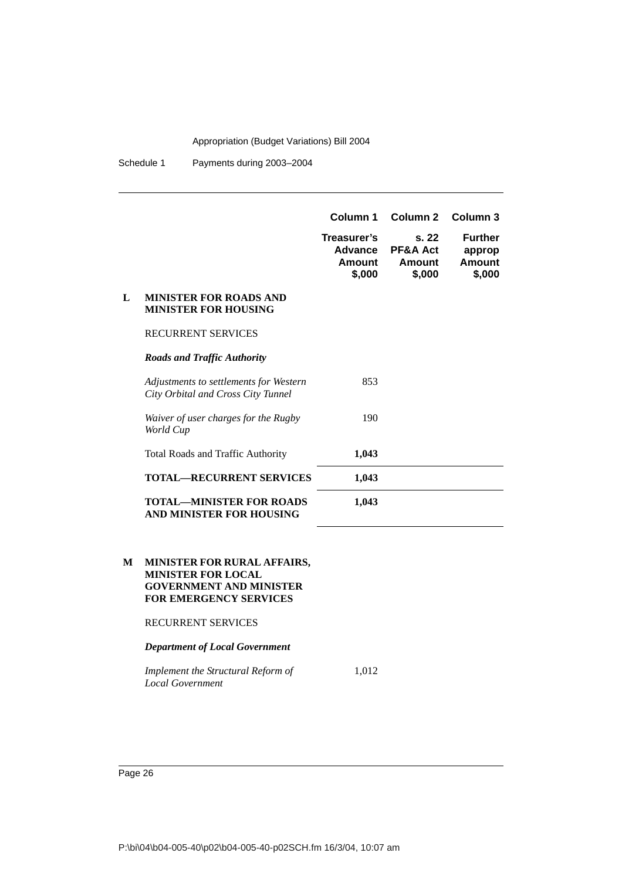Schedule 1 Payments during 2003–2004

|   |                                                                              | Column 1                                          | Column 2                                        | Column 3                                            |
|---|------------------------------------------------------------------------------|---------------------------------------------------|-------------------------------------------------|-----------------------------------------------------|
|   |                                                                              | Treasurer's<br><b>Advance</b><br>Amount<br>\$,000 | s.22<br><b>PF&amp;A Act</b><br>Amount<br>\$,000 | <b>Further</b><br>approp<br><b>Amount</b><br>\$,000 |
| L | <b>MINISTER FOR ROADS AND</b><br><b>MINISTER FOR HOUSING</b>                 |                                                   |                                                 |                                                     |
|   | <b>RECURRENT SERVICES</b>                                                    |                                                   |                                                 |                                                     |
|   | <b>Roads and Traffic Authority</b>                                           |                                                   |                                                 |                                                     |
|   | Adjustments to settlements for Western<br>City Orbital and Cross City Tunnel | 853                                               |                                                 |                                                     |
|   | Waiver of user charges for the Rugby<br>World Cup                            | 190                                               |                                                 |                                                     |
|   | Total Roads and Traffic Authority                                            | 1,043                                             |                                                 |                                                     |
|   | <b>TOTAL—RECURRENT SERVICES</b>                                              | 1,043                                             |                                                 |                                                     |
|   | <b>TOTAL—MINISTER FOR ROADS</b><br><b>AND MINISTER FOR HOUSING</b>           | 1,043                                             |                                                 |                                                     |

#### **M MINISTER FOR RURAL AFFAIRS, MINISTER FOR LOCAL GOVERNMENT AND MINISTER FOR EMERGENCY SERVICES**

RECURRENT SERVICES

*Department of Local Government*

*Implement the Structural Reform of Local Government* 1,012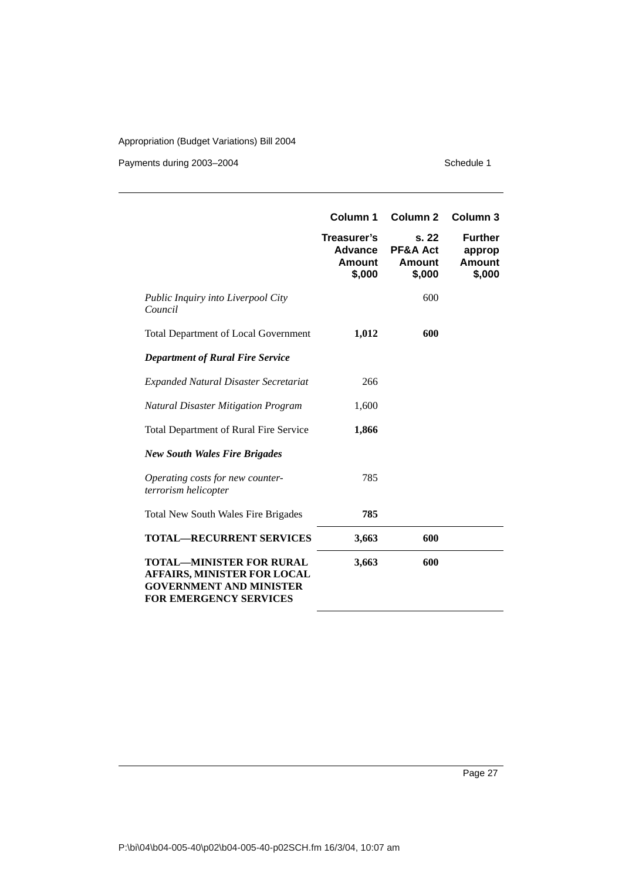Payments during 2003-2004 Schedule 1

|                                                                                                                                          | Column 1                                                 | <b>Column 2</b>                                        | Column <sub>3</sub>                          |
|------------------------------------------------------------------------------------------------------------------------------------------|----------------------------------------------------------|--------------------------------------------------------|----------------------------------------------|
|                                                                                                                                          | Treasurer's<br><b>Advance</b><br><b>Amount</b><br>\$,000 | s.22<br><b>PF&amp;A Act</b><br><b>Amount</b><br>\$,000 | <b>Further</b><br>approp<br>Amount<br>\$,000 |
| <i>Public Inquiry into Liverpool City</i><br>Council                                                                                     |                                                          | 600                                                    |                                              |
| <b>Total Department of Local Government</b>                                                                                              | 1,012                                                    | 600                                                    |                                              |
| <b>Department of Rural Fire Service</b>                                                                                                  |                                                          |                                                        |                                              |
| <b>Expanded Natural Disaster Secretariat</b>                                                                                             | 266                                                      |                                                        |                                              |
| <b>Natural Disaster Mitigation Program</b>                                                                                               | 1,600                                                    |                                                        |                                              |
| <b>Total Department of Rural Fire Service</b>                                                                                            | 1,866                                                    |                                                        |                                              |
| <b>New South Wales Fire Brigades</b>                                                                                                     |                                                          |                                                        |                                              |
| Operating costs for new counter-<br>terrorism helicopter                                                                                 | 785                                                      |                                                        |                                              |
| <b>Total New South Wales Fire Brigades</b>                                                                                               | 785                                                      |                                                        |                                              |
| <b>TOTAL-RECURRENT SERVICES</b>                                                                                                          | 3,663                                                    | 600                                                    |                                              |
| <b>TOTAL-MINISTER FOR RURAL</b><br><b>AFFAIRS, MINISTER FOR LOCAL</b><br><b>GOVERNMENT AND MINISTER</b><br><b>FOR EMERGENCY SERVICES</b> | 3,663                                                    | 600                                                    |                                              |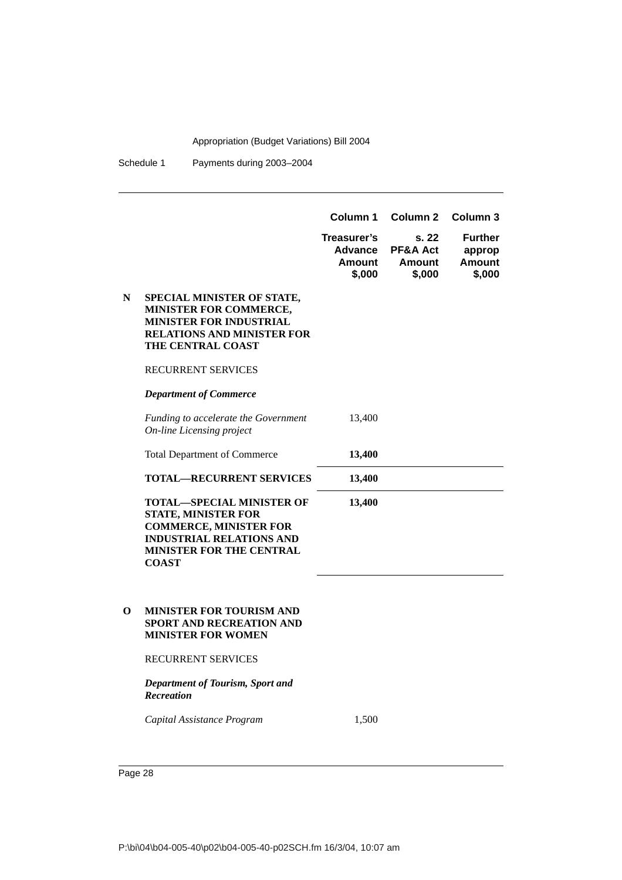Schedule 1 Payments during 2003–2004

|          |                                                                                                                                                                                       | Column 1<br>Treasurer's            | Column <sub>2</sub><br>s. 22                   | Column <sub>3</sub><br><b>Further</b> |
|----------|---------------------------------------------------------------------------------------------------------------------------------------------------------------------------------------|------------------------------------|------------------------------------------------|---------------------------------------|
|          |                                                                                                                                                                                       | Advance<br><b>Amount</b><br>\$,000 | <b>PF&amp;A Act</b><br><b>Amount</b><br>\$,000 | approp<br><b>Amount</b><br>\$,000     |
| N        | SPECIAL MINISTER OF STATE,<br><b>MINISTER FOR COMMERCE,</b><br><b>MINISTER FOR INDUSTRIAL</b><br><b>RELATIONS AND MINISTER FOR</b><br>THE CENTRAL COAST                               |                                    |                                                |                                       |
|          | <b>RECURRENT SERVICES</b>                                                                                                                                                             |                                    |                                                |                                       |
|          | <b>Department of Commerce</b>                                                                                                                                                         |                                    |                                                |                                       |
|          | Funding to accelerate the Government<br><b>On-line Licensing project</b>                                                                                                              | 13,400                             |                                                |                                       |
|          | <b>Total Department of Commerce</b>                                                                                                                                                   | 13,400                             |                                                |                                       |
|          | <b>TOTAL—RECURRENT SERVICES</b>                                                                                                                                                       | 13,400                             |                                                |                                       |
|          | <b>TOTAL-SPECIAL MINISTER OF</b><br><b>STATE, MINISTER FOR</b><br><b>COMMERCE, MINISTER FOR</b><br><b>INDUSTRIAL RELATIONS AND</b><br><b>MINISTER FOR THE CENTRAL</b><br><b>COAST</b> | 13,400                             |                                                |                                       |
| $\Omega$ | <b>MINISTER FOR TOURISM AND</b><br><b>SPORT AND RECREATION AND</b><br><b>MINISTER FOR WOMEN</b>                                                                                       |                                    |                                                |                                       |
|          | RECURRENT SERVICES                                                                                                                                                                    |                                    |                                                |                                       |
|          | Department of Tourism, Sport and<br><b>Recreation</b>                                                                                                                                 |                                    |                                                |                                       |
|          | Capital Assistance Program                                                                                                                                                            | 1,500                              |                                                |                                       |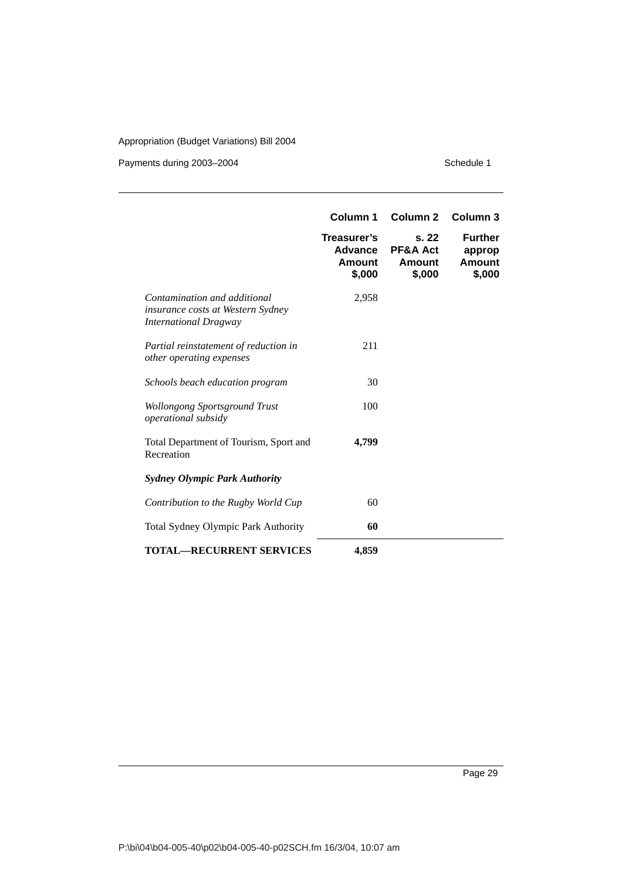#### Payments during 2003-2004 Schedule 1

|                                                                                                   | Column 1                                   | Column <sub>2</sub>                         | Column 3                                     |
|---------------------------------------------------------------------------------------------------|--------------------------------------------|---------------------------------------------|----------------------------------------------|
|                                                                                                   | Treasurer's<br>Advance<br>Amount<br>\$,000 | s.22<br>PF&A Act<br><b>Amount</b><br>\$,000 | <b>Further</b><br>approp<br>Amount<br>\$,000 |
| Contamination and additional<br>insurance costs at Western Sydney<br><b>International Dragway</b> | 2,958                                      |                                             |                                              |
| Partial reinstatement of reduction in<br><i>other operating expenses</i>                          | 211                                        |                                             |                                              |
| Schools beach education program                                                                   | 30                                         |                                             |                                              |
| Wollongong Sportsground Trust<br>operational subsidy                                              | 100                                        |                                             |                                              |
| Total Department of Tourism, Sport and<br>Recreation                                              | 4,799                                      |                                             |                                              |
| <b>Sydney Olympic Park Authority</b>                                                              |                                            |                                             |                                              |
| Contribution to the Rugby World Cup                                                               | 60                                         |                                             |                                              |
| Total Sydney Olympic Park Authority                                                               | 60                                         |                                             |                                              |
| <b>TOTAL—RECURRENT SERVICES</b>                                                                   | 4,859                                      |                                             |                                              |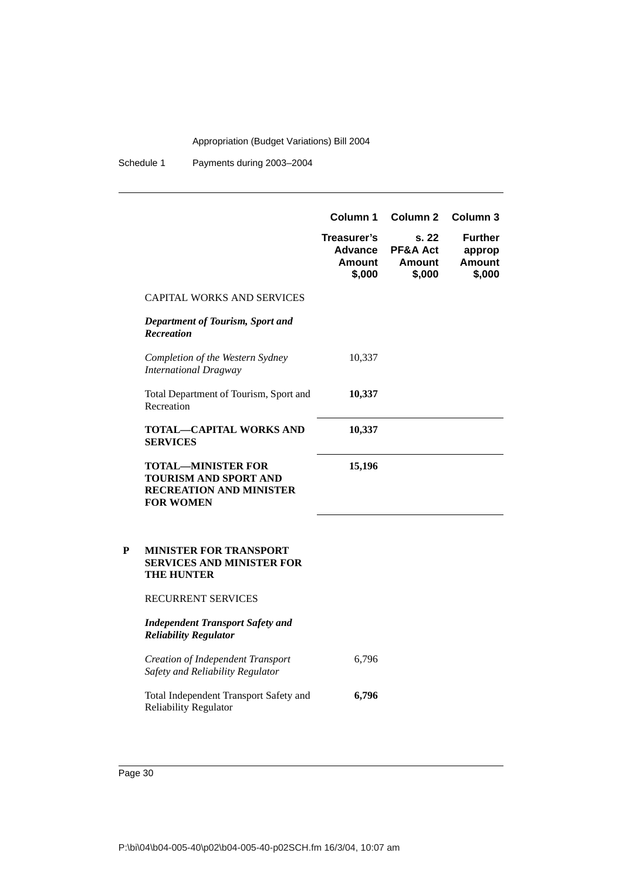Schedule 1 Payments during 2003–2004

|   |                                                                                                                 | Column 1                                          | Column <sub>2</sub>                          | Column 3                                            |
|---|-----------------------------------------------------------------------------------------------------------------|---------------------------------------------------|----------------------------------------------|-----------------------------------------------------|
|   |                                                                                                                 | Treasurer's<br>Advance<br><b>Amount</b><br>\$,000 | s. 22<br>PF&A Act<br><b>Amount</b><br>\$,000 | <b>Further</b><br>approp<br><b>Amount</b><br>\$,000 |
|   | CAPITAL WORKS AND SERVICES                                                                                      |                                                   |                                              |                                                     |
|   | Department of Tourism, Sport and<br><b>Recreation</b>                                                           |                                                   |                                              |                                                     |
|   | Completion of the Western Sydney<br><b>International Dragway</b>                                                | 10,337                                            |                                              |                                                     |
|   | Total Department of Tourism, Sport and<br>Recreation                                                            | 10,337                                            |                                              |                                                     |
|   | TOTAL—CAPITAL WORKS AND<br><b>SERVICES</b>                                                                      | 10,337                                            |                                              |                                                     |
|   | <b>TOTAL-MINISTER FOR</b><br><b>TOURISM AND SPORT AND</b><br><b>RECREATION AND MINISTER</b><br><b>FOR WOMEN</b> | 15,196                                            |                                              |                                                     |
| P | <b>MINISTER FOR TRANSPORT</b><br>SERVICES AND MINISTER FOR<br><b>THE HUNTER</b>                                 |                                                   |                                              |                                                     |
|   | RECURRENT SERVICES                                                                                              |                                                   |                                              |                                                     |
|   | <b>Independent Transport Safety and</b><br><b>Reliability Regulator</b>                                         |                                                   |                                              |                                                     |
|   | <b>Creation of Independent Transport</b><br>Safety and Reliability Regulator                                    | 6,796                                             |                                              |                                                     |
|   | Total Independent Transport Safety and<br><b>Reliability Regulator</b>                                          | 6,796                                             |                                              |                                                     |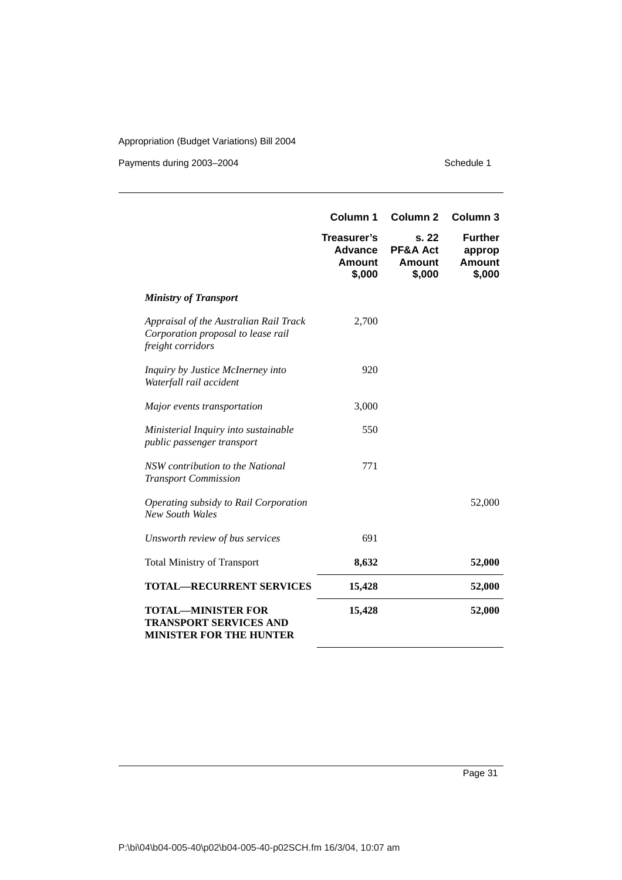Payments during 2003-2004 Schedule 1

|                                                                                                   | Column 1                                          | Column <sub>2</sub>                              | Column <sub>3</sub>                                 |
|---------------------------------------------------------------------------------------------------|---------------------------------------------------|--------------------------------------------------|-----------------------------------------------------|
|                                                                                                   | Treasurer's<br>Advance<br><b>Amount</b><br>\$,000 | s. 22<br><b>PF&amp;A Act</b><br>Amount<br>\$,000 | <b>Further</b><br>approp<br><b>Amount</b><br>\$,000 |
| <b>Ministry of Transport</b>                                                                      |                                                   |                                                  |                                                     |
| Appraisal of the Australian Rail Track<br>Corporation proposal to lease rail<br>freight corridors | 2,700                                             |                                                  |                                                     |
| Inquiry by Justice McInerney into<br>Waterfall rail accident                                      | 920                                               |                                                  |                                                     |
| Major events transportation                                                                       | 3,000                                             |                                                  |                                                     |
| Ministerial Inquiry into sustainable<br>public passenger transport                                | 550                                               |                                                  |                                                     |
| NSW contribution to the National<br><b>Transport Commission</b>                                   | 771                                               |                                                  |                                                     |
| Operating subsidy to Rail Corporation<br><b>New South Wales</b>                                   |                                                   |                                                  | 52,000                                              |
| Unsworth review of bus services                                                                   | 691                                               |                                                  |                                                     |
| <b>Total Ministry of Transport</b>                                                                | 8,632                                             |                                                  | 52,000                                              |
| <b>TOTAL-RECURRENT SERVICES</b>                                                                   | 15,428                                            |                                                  | 52,000                                              |
| <b>TOTAL-MINISTER FOR</b><br><b>TRANSPORT SERVICES AND</b><br><b>MINISTER FOR THE HUNTER</b>      | 15,428                                            |                                                  | 52,000                                              |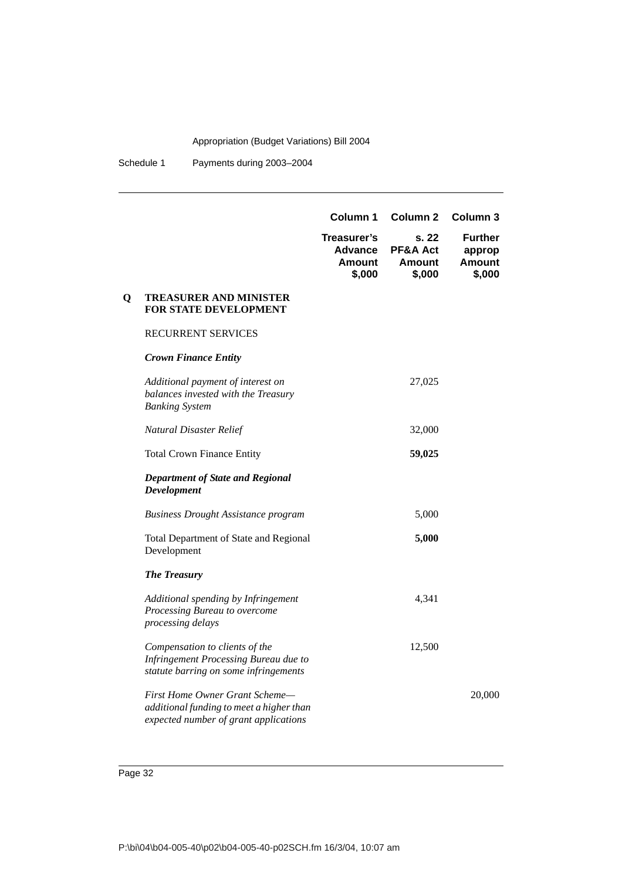Schedule 1 Payments during 2003–2004

|   |                                                                                                                     | Column 1                                                 | Column <sub>2</sub>                          | Column 3                                            |
|---|---------------------------------------------------------------------------------------------------------------------|----------------------------------------------------------|----------------------------------------------|-----------------------------------------------------|
|   |                                                                                                                     | Treasurer's<br><b>Advance</b><br><b>Amount</b><br>\$,000 | s. 22<br>PF&A Act<br><b>Amount</b><br>\$,000 | <b>Further</b><br>approp<br><b>Amount</b><br>\$,000 |
| Q | <b>TREASURER AND MINISTER</b><br><b>FOR STATE DEVELOPMENT</b>                                                       |                                                          |                                              |                                                     |
|   | RECURRENT SERVICES                                                                                                  |                                                          |                                              |                                                     |
|   | <b>Crown Finance Entity</b>                                                                                         |                                                          |                                              |                                                     |
|   | Additional payment of interest on<br>balances invested with the Treasury<br><b>Banking System</b>                   |                                                          | 27,025                                       |                                                     |
|   | Natural Disaster Relief                                                                                             |                                                          | 32,000                                       |                                                     |
|   | <b>Total Crown Finance Entity</b>                                                                                   |                                                          | 59,025                                       |                                                     |
|   | <b>Department of State and Regional</b><br><b>Development</b>                                                       |                                                          |                                              |                                                     |
|   | <b>Business Drought Assistance program</b>                                                                          |                                                          | 5,000                                        |                                                     |
|   | Total Department of State and Regional<br>Development                                                               |                                                          | 5,000                                        |                                                     |
|   | <b>The Treasury</b>                                                                                                 |                                                          |                                              |                                                     |
|   | Additional spending by Infringement<br>Processing Bureau to overcome<br>processing delays                           |                                                          | 4,341                                        |                                                     |
|   | Compensation to clients of the<br>Infringement Processing Bureau due to<br>statute barring on some infringements    |                                                          | 12,500                                       |                                                     |
|   | First Home Owner Grant Scheme—<br>additional funding to meet a higher than<br>expected number of grant applications |                                                          |                                              | 20,000                                              |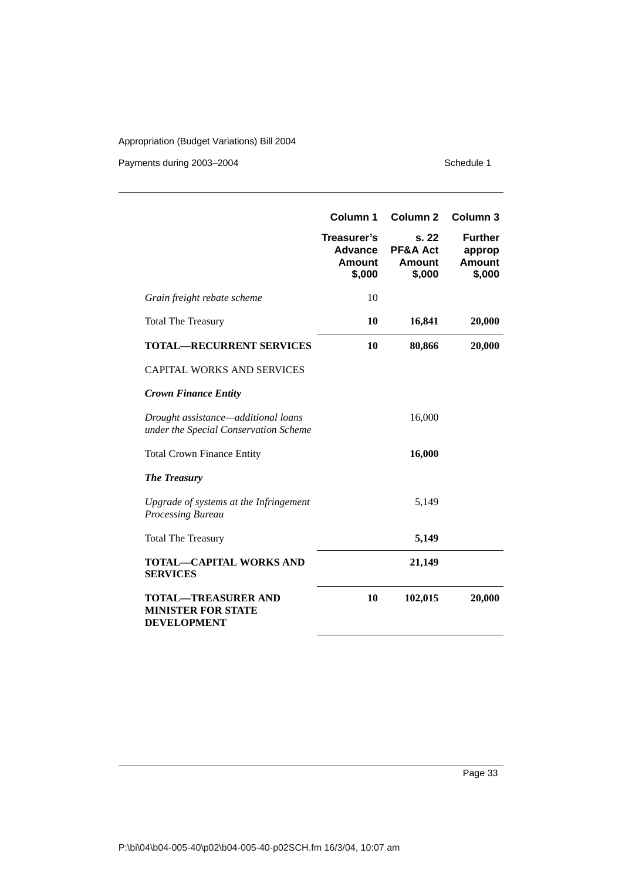Payments during 2003-2004 Schedule 1

|                                                                               | Column 1                                          | Column <sub>2</sub>                              | Column 3                                            |
|-------------------------------------------------------------------------------|---------------------------------------------------|--------------------------------------------------|-----------------------------------------------------|
|                                                                               | Treasurer's<br>Advance<br><b>Amount</b><br>\$,000 | s. 22<br><b>PF&amp;A Act</b><br>Amount<br>\$,000 | <b>Further</b><br>approp<br><b>Amount</b><br>\$,000 |
| Grain freight rebate scheme                                                   | 10                                                |                                                  |                                                     |
| <b>Total The Treasury</b>                                                     | 10                                                | 16,841                                           | 20,000                                              |
| <b>TOTAL—RECURRENT SERVICES</b>                                               | 10                                                | 80,866                                           | 20,000                                              |
| <b>CAPITAL WORKS AND SERVICES</b>                                             |                                                   |                                                  |                                                     |
| <b>Crown Finance Entity</b>                                                   |                                                   |                                                  |                                                     |
| Drought assistance—additional loans<br>under the Special Conservation Scheme  |                                                   | 16,000                                           |                                                     |
| <b>Total Crown Finance Entity</b>                                             |                                                   | 16,000                                           |                                                     |
| <b>The Treasury</b>                                                           |                                                   |                                                  |                                                     |
| Upgrade of systems at the Infringement<br><b>Processing Bureau</b>            |                                                   | 5,149                                            |                                                     |
| <b>Total The Treasury</b>                                                     |                                                   | 5,149                                            |                                                     |
| <b>TOTAL-CAPITAL WORKS AND</b><br><b>SERVICES</b>                             |                                                   | 21,149                                           |                                                     |
| <b>TOTAL—TREASURER AND</b><br><b>MINISTER FOR STATE</b><br><b>DEVELOPMENT</b> | 10                                                | 102,015                                          | 20,000                                              |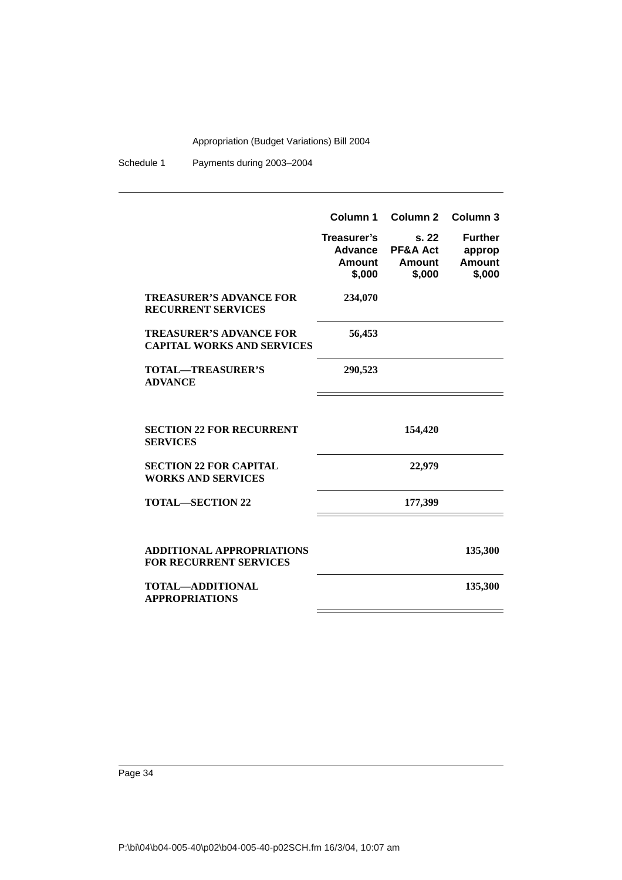Schedule 1 Payments during 2003–2004

|                                                                     | Column 1                                          | Column <sub>2</sub>                             | Column <sub>3</sub>                                 |
|---------------------------------------------------------------------|---------------------------------------------------|-------------------------------------------------|-----------------------------------------------------|
|                                                                     | Treasurer's<br>Advance<br><b>Amount</b><br>\$,000 | s.22<br><b>PF&amp;A Act</b><br>Amount<br>\$,000 | <b>Further</b><br>approp<br><b>Amount</b><br>\$,000 |
| <b>TREASURER'S ADVANCE FOR</b><br><b>RECURRENT SERVICES</b>         | 234,070                                           |                                                 |                                                     |
| <b>TREASURER'S ADVANCE FOR</b><br><b>CAPITAL WORKS AND SERVICES</b> | 56,453                                            |                                                 |                                                     |
| <b>TOTAL—TREASURER'S</b><br><b>ADVANCE</b>                          | 290,523                                           |                                                 |                                                     |
|                                                                     |                                                   |                                                 |                                                     |
| <b>SECTION 22 FOR RECURRENT</b><br><b>SERVICES</b>                  |                                                   | 154,420                                         |                                                     |
| <b>SECTION 22 FOR CAPITAL</b><br><b>WORKS AND SERVICES</b>          |                                                   | 22,979                                          |                                                     |
| <b>TOTAL-SECTION 22</b>                                             |                                                   | 177,399                                         |                                                     |
|                                                                     |                                                   |                                                 |                                                     |
| <b>ADDITIONAL APPROPRIATIONS</b><br><b>FOR RECURRENT SERVICES</b>   |                                                   |                                                 | 135,300                                             |
| <b>TOTAL—ADDITIONAL</b><br><b>APPROPRIATIONS</b>                    |                                                   |                                                 | 135,300                                             |
|                                                                     |                                                   |                                                 |                                                     |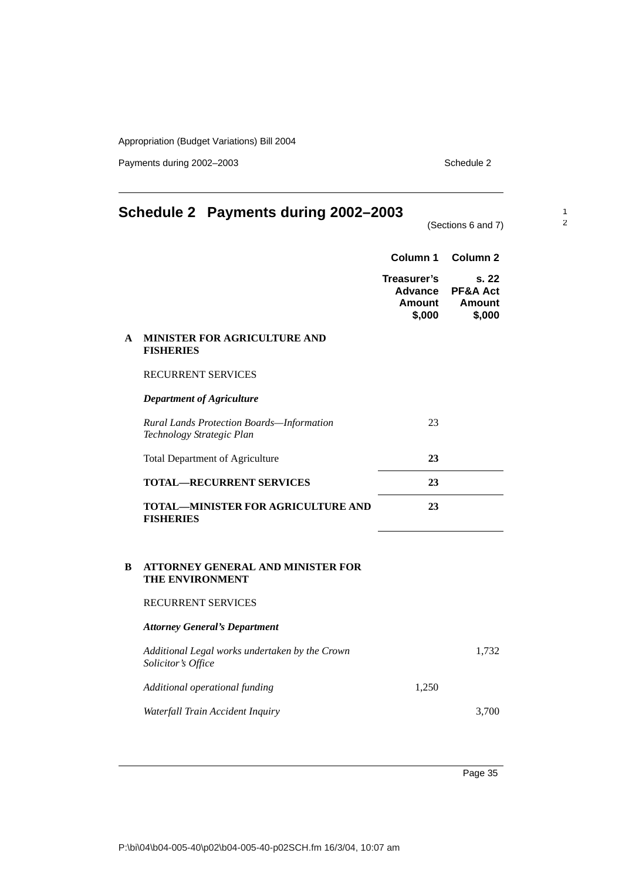Payments during 2002–2003 Schedule 2

# **Schedule 2 Payments during 2002–2003**

1 2

|   |                                                                        | Column 1                                          | <b>Column 2</b>                              |
|---|------------------------------------------------------------------------|---------------------------------------------------|----------------------------------------------|
|   |                                                                        | Treasurer's<br><b>Advance</b><br>Amount<br>\$,000 | s. 22<br>PF&A Act<br><b>Amount</b><br>\$,000 |
| А | MINISTER FOR AGRICULTURE AND<br><b>FISHERIES</b>                       |                                                   |                                              |
|   | RECURRENT SERVICES                                                     |                                                   |                                              |
|   | <b>Department of Agriculture</b>                                       |                                                   |                                              |
|   | Rural Lands Protection Boards-Information<br>Technology Strategic Plan | 23                                                |                                              |
|   | <b>Total Department of Agriculture</b>                                 | 23                                                |                                              |
|   | <b>TOTAL-RECURRENT SERVICES</b>                                        | 23                                                |                                              |
|   | <b>TOTAL-MINISTER FOR AGRICULTURE AND</b><br><b>FISHERIES</b>          | 23                                                |                                              |
| В | <b>ATTORNEY GENERAL AND MINISTER FOR</b><br>THE ENVIRONMENT            |                                                   |                                              |
|   | <b>RECURRENT SERVICES</b>                                              |                                                   |                                              |
|   | <b>Attorney General's Department</b>                                   |                                                   |                                              |
|   | Additional Legal works undertaken by the Crown<br>Solicitor's Office   |                                                   | 1,732                                        |
|   | Additional operational funding                                         | 1,250                                             |                                              |
|   | Waterfall Train Accident Inquiry                                       |                                                   | 3,700                                        |
|   |                                                                        |                                                   |                                              |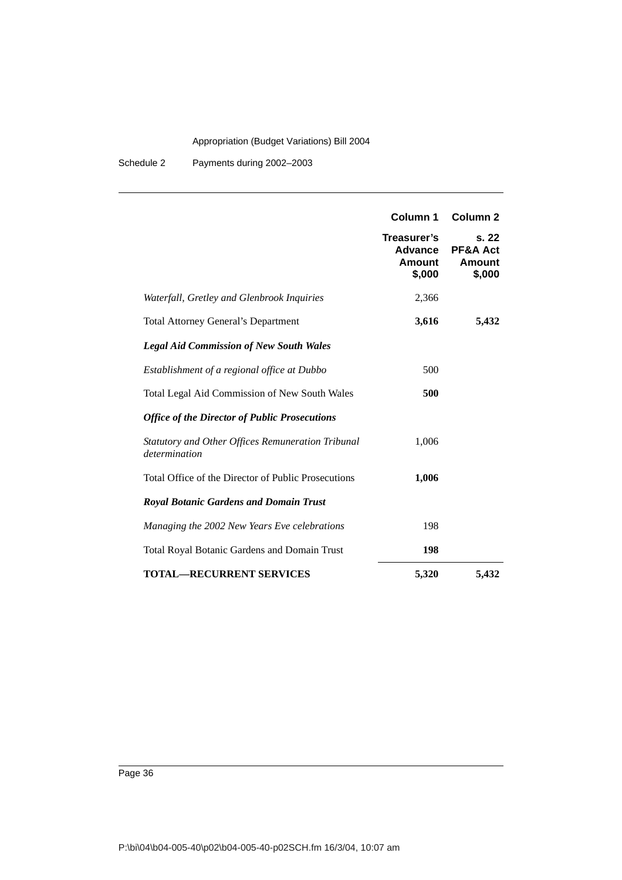Schedule 2 Payments during 2002–2003

|                                                                           | Column 1                                                 | <b>Column 2</b>                                  |
|---------------------------------------------------------------------------|----------------------------------------------------------|--------------------------------------------------|
|                                                                           | Treasurer's<br><b>Advance</b><br><b>Amount</b><br>\$,000 | s. 22<br><b>PF&amp;A Act</b><br>Amount<br>\$,000 |
| Waterfall, Gretley and Glenbrook Inquiries                                | 2,366                                                    |                                                  |
| <b>Total Attorney General's Department</b>                                | 3,616                                                    | 5,432                                            |
| <b>Legal Aid Commission of New South Wales</b>                            |                                                          |                                                  |
| Establishment of a regional office at Dubbo                               | 500                                                      |                                                  |
| <b>Total Legal Aid Commission of New South Wales</b>                      | 500                                                      |                                                  |
| <b>Office of the Director of Public Prosecutions</b>                      |                                                          |                                                  |
| <b>Statutory and Other Offices Remuneration Tribunal</b><br>determination | 1,006                                                    |                                                  |
| Total Office of the Director of Public Prosecutions                       | 1,006                                                    |                                                  |
| <b>Royal Botanic Gardens and Domain Trust</b>                             |                                                          |                                                  |
| Managing the 2002 New Years Eve celebrations                              | 198                                                      |                                                  |
| Total Royal Botanic Gardens and Domain Trust                              | 198                                                      |                                                  |
| <b>TOTAL—RECURRENT SERVICES</b>                                           | 5,320                                                    | 5,432                                            |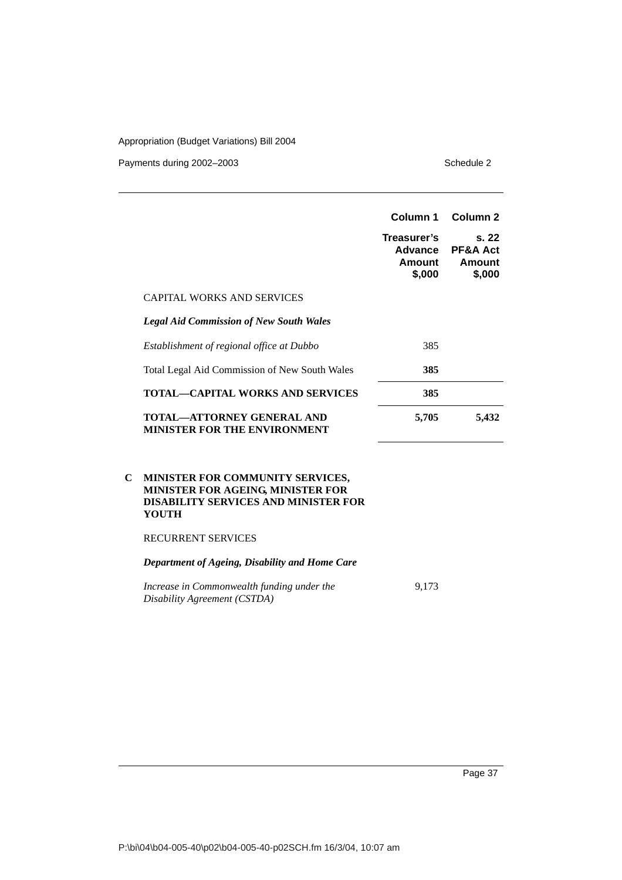Payments during 2002–2003 Schedule 2

|                                                                          | Column 1                                   | Column <sub>2</sub>                              |
|--------------------------------------------------------------------------|--------------------------------------------|--------------------------------------------------|
|                                                                          | Treasurer's<br>Advance<br>Amount<br>\$,000 | s. 22<br><b>PF&amp;A Act</b><br>Amount<br>\$,000 |
| <b>CAPITAL WORKS AND SERVICES</b>                                        |                                            |                                                  |
| <b>Legal Aid Commission of New South Wales</b>                           |                                            |                                                  |
| Establishment of regional office at Dubbo                                | 385                                        |                                                  |
| <b>Total Legal Aid Commission of New South Wales</b>                     | 385                                        |                                                  |
| <b>TOTAL—CAPITAL WORKS AND SERVICES</b>                                  | 385                                        |                                                  |
| <b>TOTAL—ATTORNEY GENERAL AND</b><br><b>MINISTER FOR THE ENVIRONMENT</b> | 5,705                                      | 5,432                                            |

#### **C MINISTER FOR COMMUNITY SERVICES, MINISTER FOR AGEING, MINISTER FOR DISABILITY SERVICES AND MINISTER FOR YOUTH**

#### RECURRENT SERVICES

*Department of Ageing, Disability and Home Care*

| Increase in Commonwealth funding under the | 9.173 |
|--------------------------------------------|-------|
| Disability Agreement (CSTDA)               |       |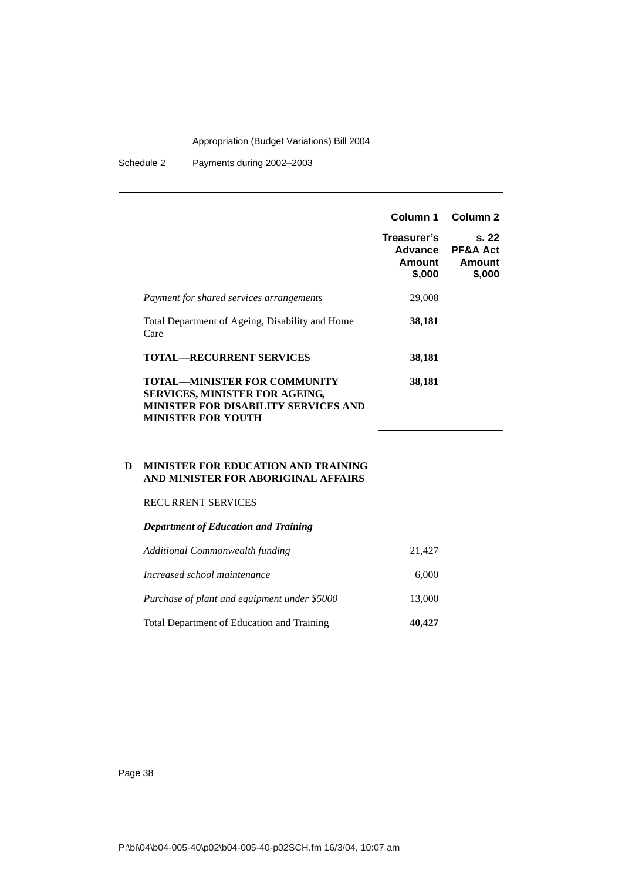Schedule 2 Payments during 2002–2003

|                                                                                                                                                          | Column 1<br>Treasurer's<br>Advance<br>Amount<br>\$,000 | Column <sub>2</sub><br>s.22<br><b>PF&amp;A Act</b><br>Amount<br>\$,000 |
|----------------------------------------------------------------------------------------------------------------------------------------------------------|--------------------------------------------------------|------------------------------------------------------------------------|
| Payment for shared services arrangements                                                                                                                 | 29,008                                                 |                                                                        |
| Total Department of Ageing, Disability and Home<br>Care                                                                                                  | 38,181                                                 |                                                                        |
| <b>TOTAL—RECURRENT SERVICES</b>                                                                                                                          | 38,181                                                 |                                                                        |
| <b>TOTAL—MINISTER FOR COMMUNITY</b><br><b>SERVICES, MINISTER FOR AGEING,</b><br><b>MINISTER FOR DISABILITY SERVICES AND</b><br><b>MINISTER FOR YOUTH</b> | 38,181                                                 |                                                                        |

#### **D MINISTER FOR EDUCATION AND TRAINING AND MINISTER FOR ABORIGINAL AFFAIRS**

#### RECURRENT SERVICES

#### *Department of Education and Training*

| <b>Total Department of Education and Training</b> | 40,427 |
|---------------------------------------------------|--------|
| Purchase of plant and equipment under \$5000      | 13,000 |
| Increased school maintenance                      | 6,000  |
| Additional Commonwealth funding                   | 21,427 |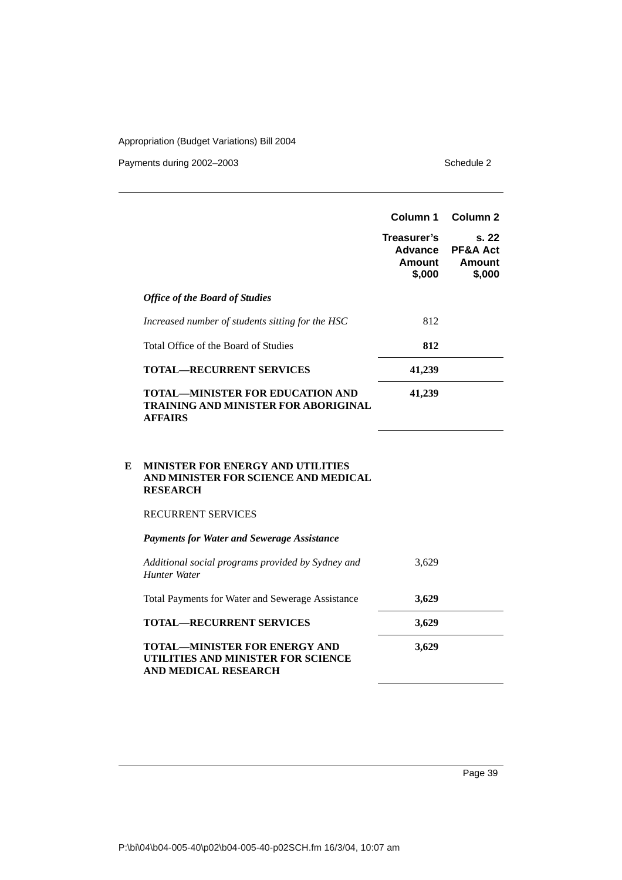Payments during 2002–2003 Schedule 2

|                                                                                            | Column 1                                   | Column <sub>2</sub>                              |
|--------------------------------------------------------------------------------------------|--------------------------------------------|--------------------------------------------------|
|                                                                                            | Treasurer's<br>Advance<br>Amount<br>\$,000 | s. 22<br><b>PF&amp;A Act</b><br>Amount<br>\$,000 |
| <b>Office of the Board of Studies</b>                                                      |                                            |                                                  |
| Increased number of students sitting for the HSC                                           | 812                                        |                                                  |
| Total Office of the Board of Studies                                                       | 812                                        |                                                  |
| <b>TOTAL—RECURRENT SERVICES</b>                                                            | 41,239                                     |                                                  |
| TOTAL—MINISTER FOR EDUCATION AND<br>TRAINING AND MINISTER FOR ABORIGINAL<br><b>AFFAIRS</b> | 41,239                                     |                                                  |

#### **E MINISTER FOR ENERGY AND UTILITIES AND MINISTER FOR SCIENCE AND MEDICAL RESEARCH**

#### RECURRENT SERVICES

| <b>Payments for Water and Sewerage Assistance</b>                 |       |
|-------------------------------------------------------------------|-------|
| Additional social programs provided by Sydney and<br>Hunter Water | 3.629 |
| Total Payments for Water and Sewerage Assistance                  | 3,629 |

| <b>TOTAL—RECURRENT SERVICES</b>                                            | 3.629 |
|----------------------------------------------------------------------------|-------|
| <b>TOTAL—MINISTER FOR ENERGY AND</b><br>UTILITIES AND MINISTER FOR SCIENCE | 3.629 |
| AND MEDICAL RESEARCH                                                       |       |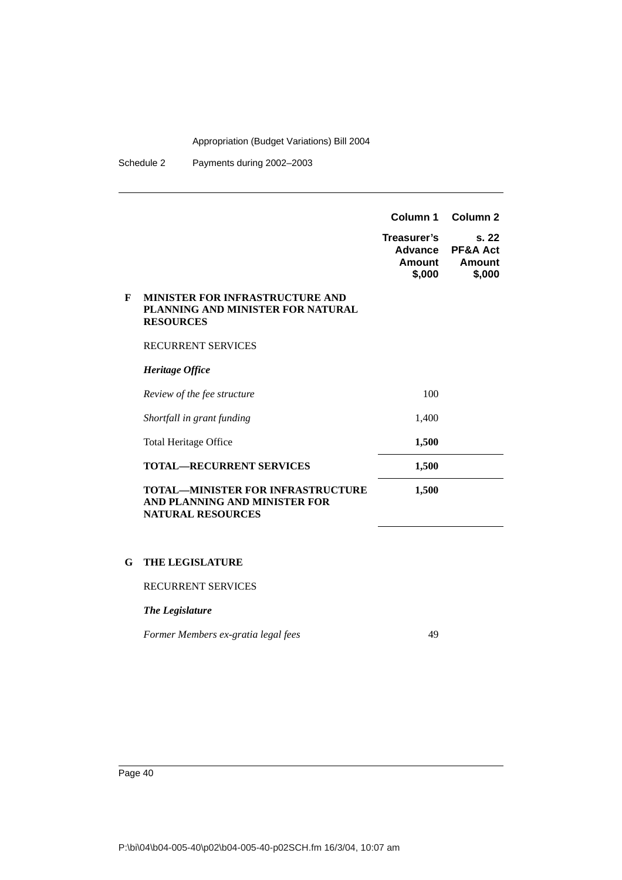Schedule 2 Payments during 2002–2003

|                                                                                                       | Column 1                                   | Column <sub>2</sub>                             |
|-------------------------------------------------------------------------------------------------------|--------------------------------------------|-------------------------------------------------|
|                                                                                                       | Treasurer's<br>Advance<br>Amount<br>\$,000 | s.22<br><b>PF&amp;A Act</b><br>Amount<br>\$,000 |
| <b>MINISTER FOR INFRASTRUCTURE AND</b><br>PLANNING AND MINISTER FOR NATURAL<br><b>RESOURCES</b>       |                                            |                                                 |
| <b>RECURRENT SERVICES</b>                                                                             |                                            |                                                 |
| Heritage Office                                                                                       |                                            |                                                 |
| Review of the fee structure                                                                           | 100                                        |                                                 |
| Shortfall in grant funding                                                                            | 1,400                                      |                                                 |
| <b>Total Heritage Office</b>                                                                          | 1,500                                      |                                                 |
| <b>TOTAL—RECURRENT SERVICES</b>                                                                       | 1,500                                      |                                                 |
| <b>TOTAL-MINISTER FOR INFRASTRUCTURE</b><br>AND PLANNING AND MINISTER FOR<br><b>NATURAL RESOURCES</b> | 1,500                                      |                                                 |
|                                                                                                       |                                            |                                                 |

#### **G THE LEGISLATURE**

RECURRENT SERVICES

#### *The Legislature*

*Former Members ex-gratia legal fees* 49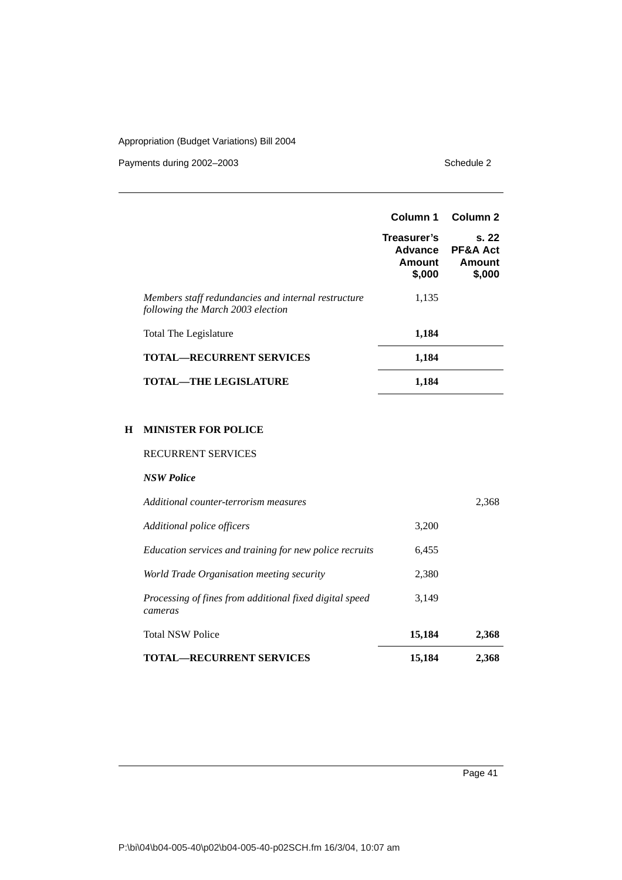Payments during 2002–2003 Schedule 2

|                                                                                          | Column 1                                   | Column 2                                        |
|------------------------------------------------------------------------------------------|--------------------------------------------|-------------------------------------------------|
|                                                                                          | Treasurer's<br>Advance<br>Amount<br>\$,000 | s.22<br><b>PF&amp;A Act</b><br>Amount<br>\$,000 |
| Members staff redundancies and internal restructure<br>following the March 2003 election | 1,135                                      |                                                 |
| Total The Legislature                                                                    | 1,184                                      |                                                 |
| <b>TOTAL—RECURRENT SERVICES</b>                                                          | 1,184                                      |                                                 |
| <b>TOTAL—THE LEGISLATURE</b>                                                             | 1,184                                      |                                                 |

#### **H MINISTER FOR POLICE**

#### RECURRENT SERVICES

| <b>NSW Police</b>                                                  |        |       |
|--------------------------------------------------------------------|--------|-------|
| Additional counter-terrorism measures                              |        | 2,368 |
| Additional police officers                                         | 3,200  |       |
| Education services and training for new police recruits            | 6,455  |       |
| World Trade Organisation meeting security                          | 2,380  |       |
| Processing of fines from additional fixed digital speed<br>cameras | 3.149  |       |
| <b>Total NSW Police</b>                                            | 15,184 | 2,368 |
| <b>TOTAL—RECURRENT SERVICES</b>                                    | 15,184 | 2,368 |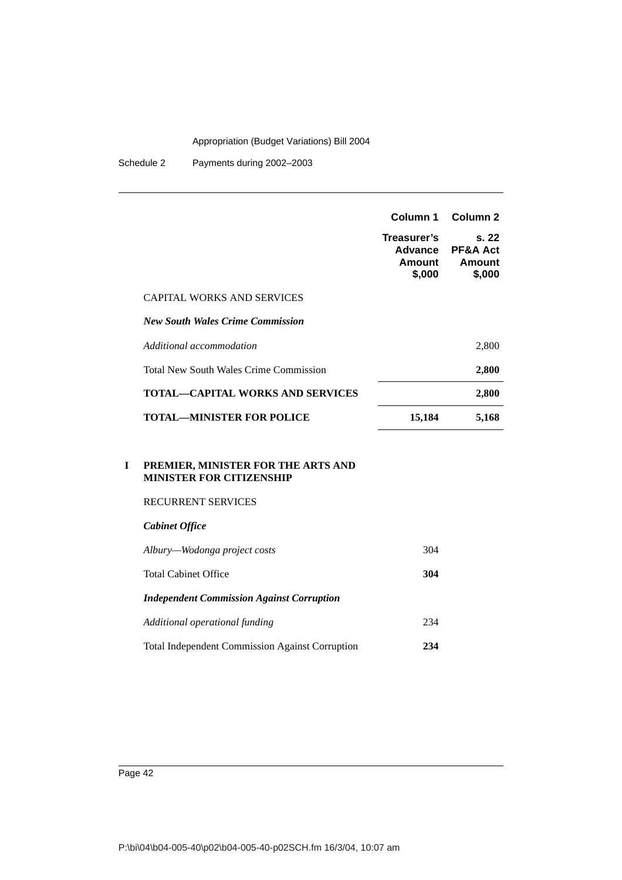Schedule 2 Payments during 2002–2003

|                                         | Column 1                                   | Column <sub>2</sub>                             |
|-----------------------------------------|--------------------------------------------|-------------------------------------------------|
|                                         | Treasurer's<br>Advance<br>Amount<br>\$,000 | s.22<br><b>PF&amp;A Act</b><br>Amount<br>\$,000 |
| <b>CAPITAL WORKS AND SERVICES</b>       |                                            |                                                 |
| <b>New South Wales Crime Commission</b> |                                            |                                                 |
| Additional accommodation                |                                            | 2,800                                           |
| Total New South Wales Crime Commission  |                                            | 2,800                                           |
| <b>TOTAL—CAPITAL WORKS AND SERVICES</b> |                                            | 2,800                                           |
| TOTAL—MINISTER FOR POLICE               | 15,184                                     | 5,168                                           |

#### **I PREMIER, MINISTER FOR THE ARTS AND MINISTER FOR CITIZENSHIP**

#### RECURRENT SERVICES

#### *Cabinet Office*

| Albury—Wodonga project costs                           | 304 |
|--------------------------------------------------------|-----|
| Total Cabinet Office                                   | 304 |
| <b>Independent Commission Against Corruption</b>       |     |
| Additional operational funding                         | 234 |
| <b>Total Independent Commission Against Corruption</b> | 234 |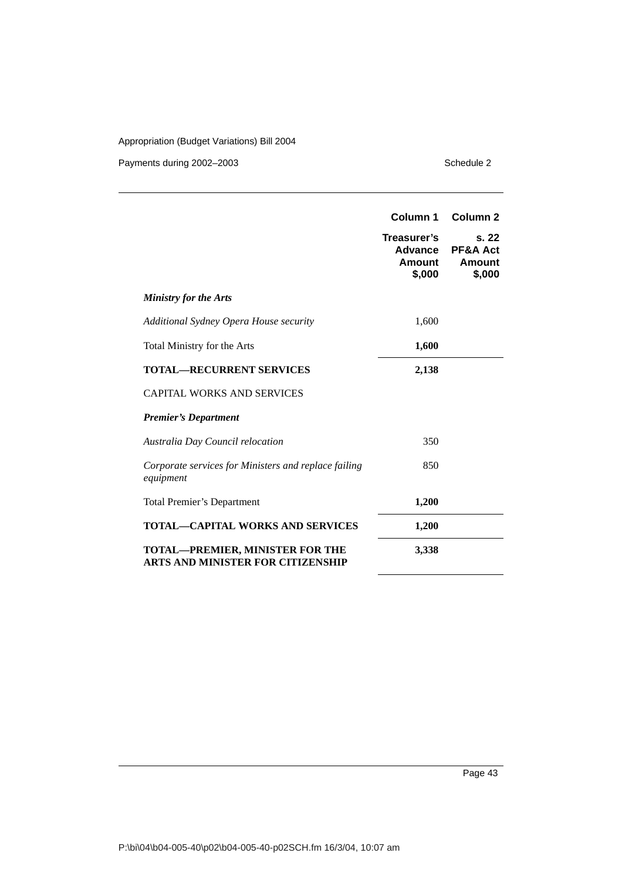Payments during 2002–2003 Schedule 2

|                                                                                    | Column 1<br>Treasurer's<br><b>Advance</b><br><b>Amount</b><br>\$,000 | Column <sub>2</sub><br>s. 22<br><b>PF&amp;A Act</b><br>Amount<br>\$,000 |
|------------------------------------------------------------------------------------|----------------------------------------------------------------------|-------------------------------------------------------------------------|
| <b>Ministry for the Arts</b>                                                       |                                                                      |                                                                         |
| Additional Sydney Opera House security                                             | 1,600                                                                |                                                                         |
| Total Ministry for the Arts                                                        | 1,600                                                                |                                                                         |
| <b>TOTAL—RECURRENT SERVICES</b>                                                    | 2,138                                                                |                                                                         |
| <b>CAPITAL WORKS AND SERVICES</b>                                                  |                                                                      |                                                                         |
| <b>Premier's Department</b>                                                        |                                                                      |                                                                         |
| Australia Day Council relocation                                                   | 350                                                                  |                                                                         |
| Corporate services for Ministers and replace failing<br>equipment                  | 850                                                                  |                                                                         |
| <b>Total Premier's Department</b>                                                  | 1,200                                                                |                                                                         |
| <b>TOTAL—CAPITAL WORKS AND SERVICES</b>                                            | 1,200                                                                |                                                                         |
| <b>TOTAL-PREMIER, MINISTER FOR THE</b><br><b>ARTS AND MINISTER FOR CITIZENSHIP</b> | 3,338                                                                |                                                                         |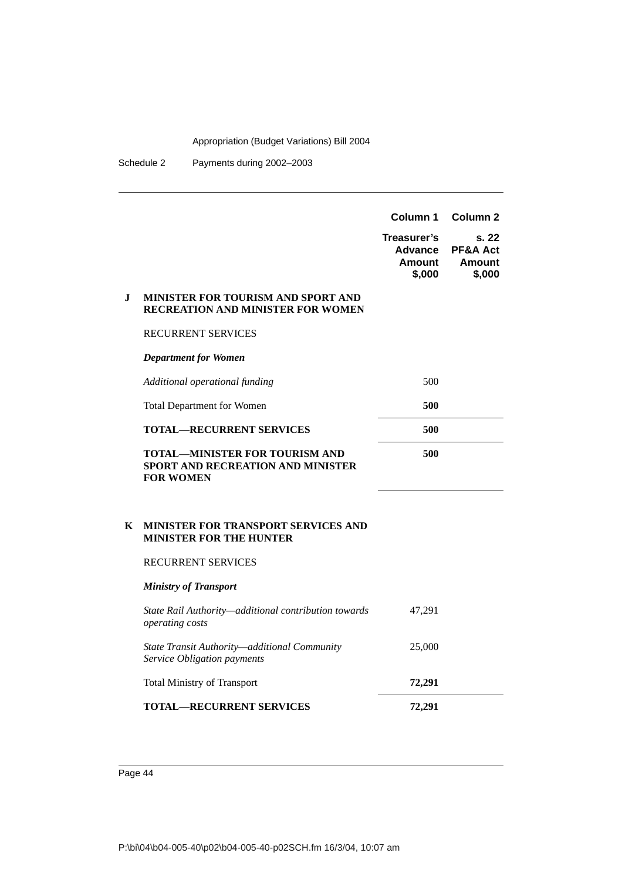Schedule 2 Payments during 2002–2003

| $\mathbf I$ | MINISTER FOR TOURISM AND SPORT AND<br>RECREATION AND MINISTER FOR WOMEN<br><b>RECURRENT SERVICES</b><br><b>Department for Women</b> | Column 1<br>Treasurer's<br>Advance<br>Amount<br>\$,000 | Column 2<br>s. 22<br><b>PF&amp;A Act</b><br><b>Amount</b><br>\$,000 |
|-------------|-------------------------------------------------------------------------------------------------------------------------------------|--------------------------------------------------------|---------------------------------------------------------------------|
|             | Additional operational funding                                                                                                      | 500                                                    |                                                                     |
|             | <b>Total Department for Women</b>                                                                                                   | 500                                                    |                                                                     |
|             | <b>TOTAL—RECURRENT SERVICES</b>                                                                                                     | 500                                                    |                                                                     |
|             | <b>TOTAL—MINISTER FOR TOURISM AND</b><br><b>SPORT AND RECREATION AND MINISTER</b><br><b>FOR WOMEN</b>                               | 500                                                    |                                                                     |
| K           | <b>MINISTER FOR TRANSPORT SERVICES AND</b><br><b>MINISTER FOR THE HUNTER</b>                                                        |                                                        |                                                                     |
|             | <b>RECURRENT SERVICES</b>                                                                                                           |                                                        |                                                                     |
|             | <b>Ministry of Transport</b>                                                                                                        |                                                        |                                                                     |
|             | State Rail Authority-additional contribution towards<br>operating costs                                                             | 47,291                                                 |                                                                     |
|             | State Transit Authority-additional Community<br>Service Obligation payments                                                         | 25,000                                                 |                                                                     |
|             | <b>Total Ministry of Transport</b>                                                                                                  | 72,291                                                 |                                                                     |
|             | <b>TOTAL—RECURRENT SERVICES</b>                                                                                                     | 72,291                                                 |                                                                     |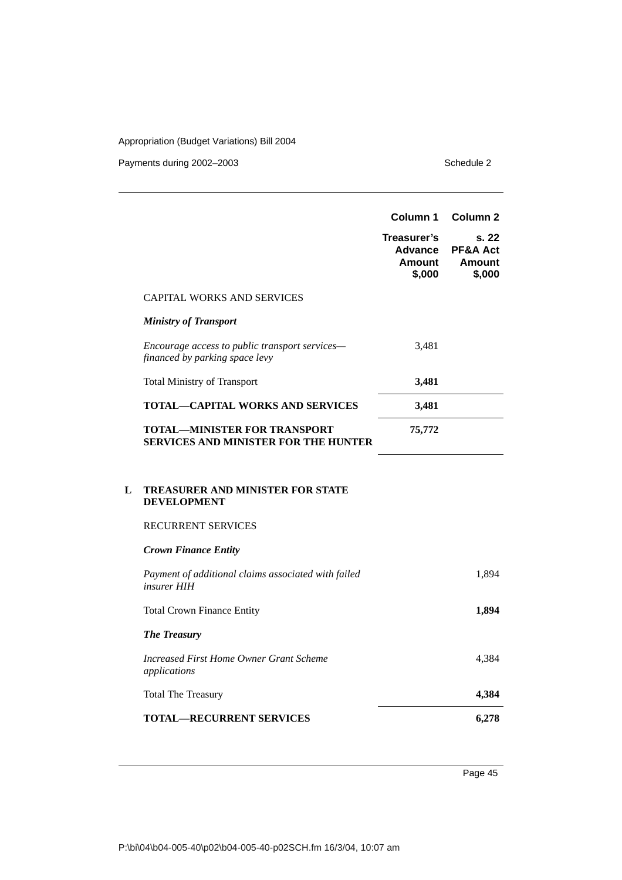Payments during 2002–2003 Schedule 2

|                                                                                    | Column 1                                   | Column <sub>2</sub>                                     |
|------------------------------------------------------------------------------------|--------------------------------------------|---------------------------------------------------------|
|                                                                                    | Treasurer's<br>Advance<br>Amount<br>\$,000 | s. 22<br><b>PF&amp;A Act</b><br><b>Amount</b><br>\$,000 |
| <b>CAPITAL WORKS AND SERVICES</b>                                                  |                                            |                                                         |
| <b>Ministry of Transport</b>                                                       |                                            |                                                         |
| Encourage access to public transport services-<br>financed by parking space levy   | 3,481                                      |                                                         |
| <b>Total Ministry of Transport</b>                                                 | 3,481                                      |                                                         |
| <b>TOTAL-CAPITAL WORKS AND SERVICES</b>                                            | 3,481                                      |                                                         |
| <b>TOTAL-MINISTER FOR TRANSPORT</b><br><b>SERVICES AND MINISTER FOR THE HUNTER</b> | 75,772                                     |                                                         |
| $\mathbf L$<br>TREASURER AND MINISTER FOR STATE<br><b>DEVELOPMENT</b>              |                                            |                                                         |
| <b>RECURRENT SERVICES</b>                                                          |                                            |                                                         |
| <b>Crown Finance Entity</b>                                                        |                                            |                                                         |
| Payment of additional claims associated with failed<br>insurer HIH                 |                                            | 1,894                                                   |
| <b>Total Crown Finance Entity</b>                                                  |                                            | 1,894                                                   |
| <b>The Treasury</b>                                                                |                                            |                                                         |
| Increased First Home Owner Grant Scheme<br>applications                            |                                            | 4,384                                                   |
| <b>Total The Treasury</b>                                                          |                                            | 4,384                                                   |
| <b>TOTAL-RECURRENT SERVICES</b>                                                    |                                            | 6,278                                                   |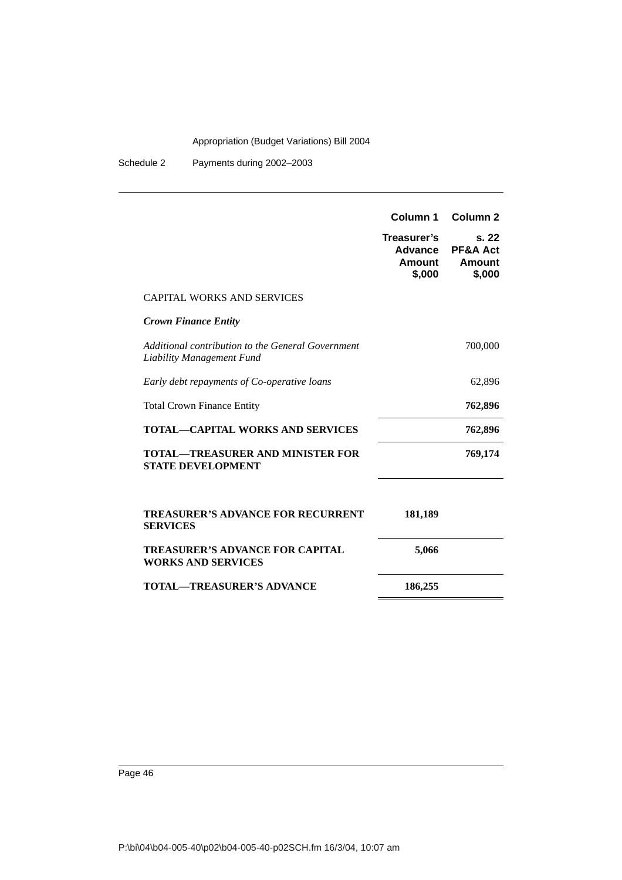Schedule 2 Payments during 2002–2003

|                                                                                | Column 1<br>Treasurer's<br>Advance<br><b>Amount</b><br>\$,000 | Column <sub>2</sub><br>s.22<br><b>PF&amp;A Act</b><br>Amount<br>\$,000 |
|--------------------------------------------------------------------------------|---------------------------------------------------------------|------------------------------------------------------------------------|
| <b>CAPITAL WORKS AND SERVICES</b>                                              |                                                               |                                                                        |
| <b>Crown Finance Entity</b>                                                    |                                                               |                                                                        |
| Additional contribution to the General Government<br>Liability Management Fund |                                                               | 700,000                                                                |
| Early debt repayments of Co-operative loans                                    |                                                               | 62,896                                                                 |
| <b>Total Crown Finance Entity</b>                                              |                                                               | 762,896                                                                |
| <b>TOTAL—CAPITAL WORKS AND SERVICES</b>                                        |                                                               | 762,896                                                                |
| <b>TOTAL—TREASURER AND MINISTER FOR</b><br><b>STATE DEVELOPMENT</b>            |                                                               | 769,174                                                                |
| <b>TREASURER'S ADVANCE FOR RECURRENT</b><br><b>SERVICES</b>                    | 181,189                                                       |                                                                        |
| <b>TREASURER'S ADVANCE FOR CAPITAL</b><br><b>WORKS AND SERVICES</b>            | 5,066                                                         |                                                                        |
| TOTAL—TREASURER'S ADVANCE                                                      | 186,255                                                       |                                                                        |